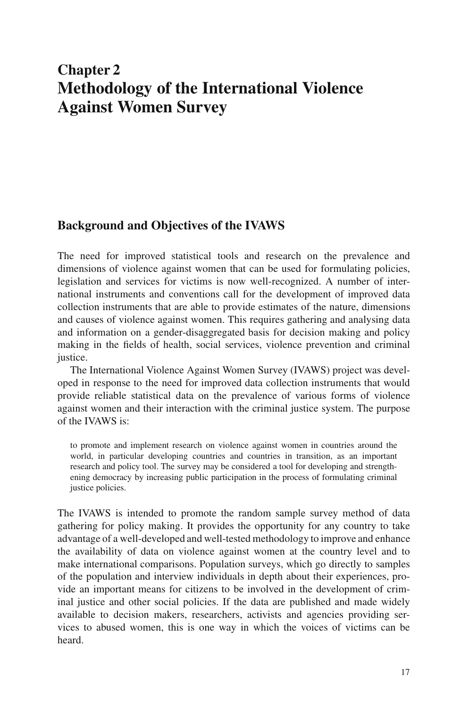# **Chapter 2 Methodology of the International Violence Against Women Survey**

## **Background and Objectives of the IVAWS**

The need for improved statistical tools and research on the prevalence and dimensions of violence against women that can be used for formulating policies, legislation and services for victims is now well-recognized. A number of international instruments and conventions call for the development of improved data collection instruments that are able to provide estimates of the nature, dimensions and causes of violence against women. This requires gathering and analysing data and information on a gender-disaggregated basis for decision making and policy making in the fields of health, social services, violence prevention and criminal justice.

The International Violence Against Women Survey (IVAWS) project was developed in response to the need for improved data collection instruments that would provide reliable statistical data on the prevalence of various forms of violence against women and their interaction with the criminal justice system. The purpose of the IVAWS is:

to promote and implement research on violence against women in countries around the world, in particular developing countries and countries in transition, as an important research and policy tool. The survey may be considered a tool for developing and strengthening democracy by increasing public participation in the process of formulating criminal justice policies.

The IVAWS is intended to promote the random sample survey method of data gathering for policy making. It provides the opportunity for any country to take advantage of a well-developed and well-tested methodology to improve and enhance the availability of data on violence against women at the country level and to make international comparisons. Population surveys, which go directly to samples of the population and interview individuals in depth about their experiences, provide an important means for citizens to be involved in the development of criminal justice and other social policies. If the data are published and made widely available to decision makers, researchers, activists and agencies providing services to abused women, this is one way in which the voices of victims can be heard.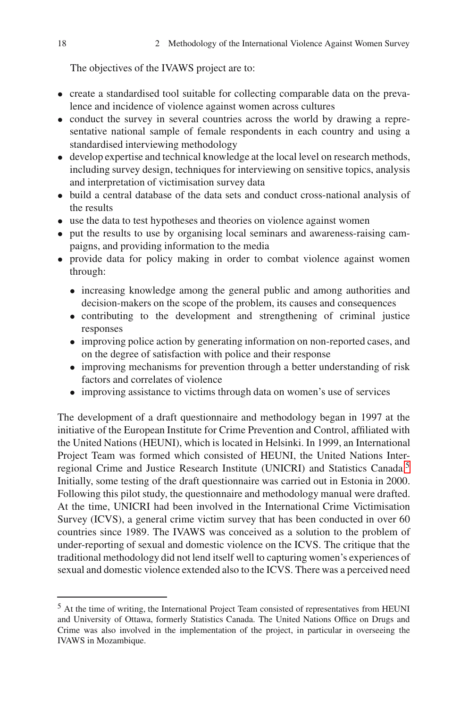The objectives of the IVAWS project are to:

- create a standardised tool suitable for collecting comparable data on the prevalence and incidence of violence against women across cultures
- conduct the survey in several countries across the world by drawing a representative national sample of female respondents in each country and using a standardised interviewing methodology
- develop expertise and technical knowledge at the local level on research methods, including survey design, techniques for interviewing on sensitive topics, analysis and interpretation of victimisation survey data
- build a central database of the data sets and conduct cross-national analysis of the results
- use the data to test hypotheses and theories on violence against women
- put the results to use by organising local seminars and awareness-raising campaigns, and providing information to the media
- provide data for policy making in order to combat violence against women through:
	- increasing knowledge among the general public and among authorities and decision-makers on the scope of the problem, its causes and consequences
	- contributing to the development and strengthening of criminal justice responses
	- improving police action by generating information on non-reported cases, and on the degree of satisfaction with police and their response
	- improving mechanisms for prevention through a better understanding of risk factors and correlates of violence
	- improving assistance to victims through data on women's use of services

The development of a draft questionnaire and methodology began in 1997 at the initiative of the European Institute for Crime Prevention and Control, affiliated with the United Nations (HEUNI), which is located in Helsinki. In 1999, an International Project Team was formed which consisted of HEUNI, the United Nations Interregional Crime and Justice Research Institute (UNICRI) and Statistics Canada.<sup>5</sup> Initially, some testing of the draft questionnaire was carried out in Estonia in 2000. Following this pilot study, the questionnaire and methodology manual were drafted. At the time, UNICRI had been involved in the International Crime Victimisation Survey (ICVS), a general crime victim survey that has been conducted in over 60 countries since 1989. The IVAWS was conceived as a solution to the problem of under-reporting of sexual and domestic violence on the ICVS. The critique that the traditional methodology did not lend itself well to capturing women's experiences of sexual and domestic violence extended also to the ICVS. There was a perceived need

<sup>&</sup>lt;sup>5</sup> At the time of writing, the International Project Team consisted of representatives from HEUNI and University of Ottawa, formerly Statistics Canada. The United Nations Office on Drugs and Crime was also involved in the implementation of the project, in particular in overseeing the IVAWS in Mozambique.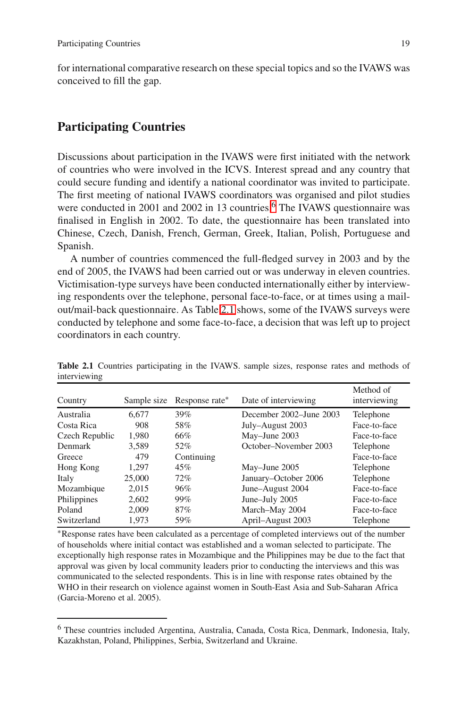for international comparative research on these special topics and so the IVAWS was conceived to fill the gap.

## **Participating Countries**

Discussions about participation in the IVAWS were first initiated with the network of countries who were involved in the ICVS. Interest spread and any country that could secure funding and identify a national coordinator was invited to participate. The first meeting of national IVAWS coordinators was organised and pilot studies were conducted in 2001 and 2002 in 13 countries.<sup>6</sup> The IVAWS questionnaire was finalised in English in 2002. To date, the questionnaire has been translated into Chinese, Czech, Danish, French, German, Greek, Italian, Polish, Portuguese and Spanish.

A number of countries commenced the full-fledged survey in 2003 and by the end of 2005, the IVAWS had been carried out or was underway in eleven countries. Victimisation-type surveys have been conducted internationally either by interviewing respondents over the telephone, personal face-to-face, or at times using a mailout/mail-back questionnaire. As Table [2.1](#page-2-0) shows, some of the IVAWS surveys were conducted by telephone and some face-to-face, a decision that was left up to project coordinators in each country.

| Country        | Sample size | Response rate* | Date of interviewing    | Method of<br>interviewing |
|----------------|-------------|----------------|-------------------------|---------------------------|
| Australia      | 6.677       | 39%            | December 2002–June 2003 | Telephone                 |
| Costa Rica     | 908         | 58%            | July–August 2003        | Face-to-face              |
| Czech Republic | 1.980       | 66%            | May-June 2003           | Face-to-face              |
| Denmark        | 3,589       | 52%            | October–November 2003   | Telephone                 |
| Greece         | 479         | Continuing     |                         | Face-to-face              |
| Hong Kong      | 1.297       | 45%            | May-June 2005           | Telephone                 |
| Italy          | 25,000      | 72%            | January-October 2006    | Telephone                 |
| Mozambique     | 2.015       | 96%            | June-August 2004        | Face-to-face              |
| Philippines    | 2,602       | 99%            | June-July 2005          | Face-to-face              |
| Poland         | 2.009       | 87%            | March-May 2004          | Face-to-face              |
| Switzerland    | 1.973       | 59%            | April-August 2003       | Telephone                 |

<span id="page-2-0"></span>**Table 2.1** Countries participating in the IVAWS. sample sizes, response rates and methods of interviewing

<sup>∗</sup>Response rates have been calculated as a percentage of completed interviews out of the number of households where initial contact was established and a woman selected to participate. The exceptionally high response rates in Mozambique and the Philippines may be due to the fact that approval was given by local community leaders prior to conducting the interviews and this was communicated to the selected respondents. This is in line with response rates obtained by the WHO in their research on violence against women in South-East Asia and Sub-Saharan Africa (Garcia-Moreno et al. 2005).

<sup>6</sup> These countries included Argentina, Australia, Canada, Costa Rica, Denmark, Indonesia, Italy, Kazakhstan, Poland, Philippines, Serbia, Switzerland and Ukraine.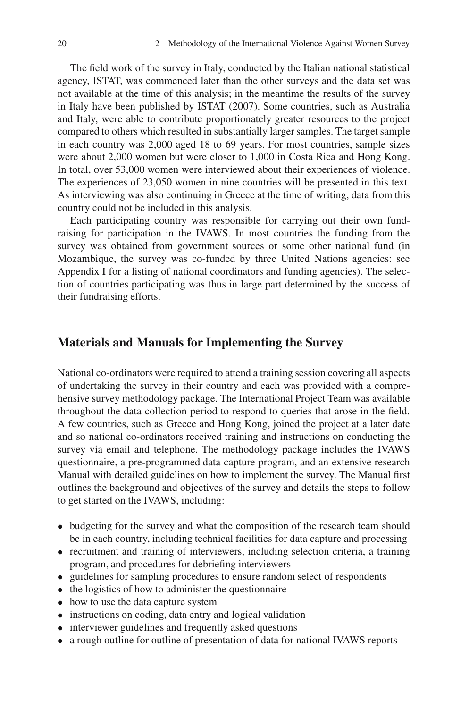The field work of the survey in Italy, conducted by the Italian national statistical agency, ISTAT, was commenced later than the other surveys and the data set was not available at the time of this analysis; in the meantime the results of the survey in Italy have been published by ISTAT (2007). Some countries, such as Australia and Italy, were able to contribute proportionately greater resources to the project compared to others which resulted in substantially larger samples. The target sample in each country was 2,000 aged 18 to 69 years. For most countries, sample sizes were about 2,000 women but were closer to 1,000 in Costa Rica and Hong Kong. In total, over 53,000 women were interviewed about their experiences of violence. The experiences of 23,050 women in nine countries will be presented in this text. As interviewing was also continuing in Greece at the time of writing, data from this country could not be included in this analysis.

Each participating country was responsible for carrying out their own fundraising for participation in the IVAWS. In most countries the funding from the survey was obtained from government sources or some other national fund (in Mozambique, the survey was co-funded by three United Nations agencies: see Appendix I for a listing of national coordinators and funding agencies). The selection of countries participating was thus in large part determined by the success of their fundraising efforts.

#### **Materials and Manuals for Implementing the Survey**

National co-ordinators were required to attend a training session covering all aspects of undertaking the survey in their country and each was provided with a comprehensive survey methodology package. The International Project Team was available throughout the data collection period to respond to queries that arose in the field. A few countries, such as Greece and Hong Kong, joined the project at a later date and so national co-ordinators received training and instructions on conducting the survey via email and telephone. The methodology package includes the IVAWS questionnaire, a pre-programmed data capture program, and an extensive research Manual with detailed guidelines on how to implement the survey. The Manual first outlines the background and objectives of the survey and details the steps to follow to get started on the IVAWS, including:

- budgeting for the survey and what the composition of the research team should be in each country, including technical facilities for data capture and processing
- recruitment and training of interviewers, including selection criteria, a training program, and procedures for debriefing interviewers
- guidelines for sampling procedures to ensure random select of respondents
- the logistics of how to administer the questionnaire
- how to use the data capture system
- instructions on coding, data entry and logical validation
- interviewer guidelines and frequently asked questions
- a rough outline for outline of presentation of data for national IVAWS reports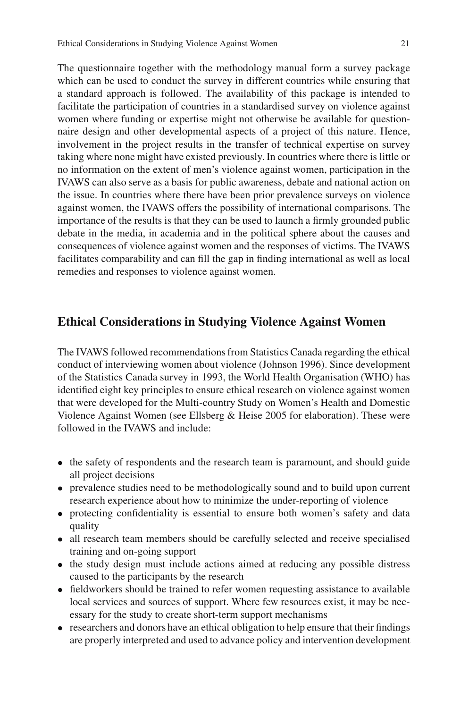The questionnaire together with the methodology manual form a survey package which can be used to conduct the survey in different countries while ensuring that a standard approach is followed. The availability of this package is intended to facilitate the participation of countries in a standardised survey on violence against women where funding or expertise might not otherwise be available for questionnaire design and other developmental aspects of a project of this nature. Hence, involvement in the project results in the transfer of technical expertise on survey taking where none might have existed previously. In countries where there is little or no information on the extent of men's violence against women, participation in the IVAWS can also serve as a basis for public awareness, debate and national action on the issue. In countries where there have been prior prevalence surveys on violence against women, the IVAWS offers the possibility of international comparisons. The importance of the results is that they can be used to launch a firmly grounded public debate in the media, in academia and in the political sphere about the causes and consequences of violence against women and the responses of victims. The IVAWS facilitates comparability and can fill the gap in finding international as well as local remedies and responses to violence against women.

### **Ethical Considerations in Studying Violence Against Women**

The IVAWS followed recommendations from Statistics Canada regarding the ethical conduct of interviewing women about violence (Johnson 1996). Since development of the Statistics Canada survey in 1993, the World Health Organisation (WHO) has identified eight key principles to ensure ethical research on violence against women that were developed for the Multi-country Study on Women's Health and Domestic Violence Against Women (see Ellsberg & Heise 2005 for elaboration). These were followed in the IVAWS and include:

- the safety of respondents and the research team is paramount, and should guide all project decisions
- prevalence studies need to be methodologically sound and to build upon current research experience about how to minimize the under-reporting of violence
- protecting confidentiality is essential to ensure both women's safety and data quality
- all research team members should be carefully selected and receive specialised training and on-going support
- the study design must include actions aimed at reducing any possible distress caused to the participants by the research
- fieldworkers should be trained to refer women requesting assistance to available local services and sources of support. Where few resources exist, it may be necessary for the study to create short-term support mechanisms
- researchers and donors have an ethical obligation to help ensure that their findings are properly interpreted and used to advance policy and intervention development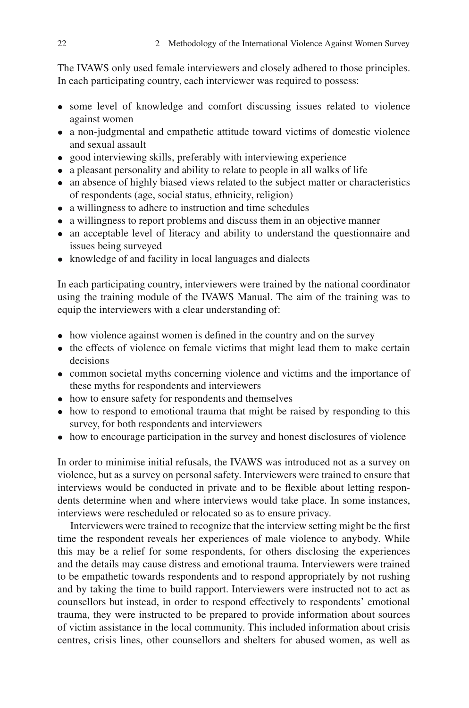The IVAWS only used female interviewers and closely adhered to those principles. In each participating country, each interviewer was required to possess:

- some level of knowledge and comfort discussing issues related to violence against women
- a non-judgmental and empathetic attitude toward victims of domestic violence and sexual assault
- good interviewing skills, preferably with interviewing experience
- a pleasant personality and ability to relate to people in all walks of life
- an absence of highly biased views related to the subject matter or characteristics of respondents (age, social status, ethnicity, religion)
- a willingness to adhere to instruction and time schedules
- a willingness to report problems and discuss them in an objective manner
- an acceptable level of literacy and ability to understand the questionnaire and issues being surveyed
- knowledge of and facility in local languages and dialects

In each participating country, interviewers were trained by the national coordinator using the training module of the IVAWS Manual. The aim of the training was to equip the interviewers with a clear understanding of:

- how violence against women is defined in the country and on the survey
- the effects of violence on female victims that might lead them to make certain decisions
- common societal myths concerning violence and victims and the importance of these myths for respondents and interviewers
- how to ensure safety for respondents and themselves
- how to respond to emotional trauma that might be raised by responding to this survey, for both respondents and interviewers
- how to encourage participation in the survey and honest disclosures of violence

In order to minimise initial refusals, the IVAWS was introduced not as a survey on violence, but as a survey on personal safety. Interviewers were trained to ensure that interviews would be conducted in private and to be flexible about letting respondents determine when and where interviews would take place. In some instances, interviews were rescheduled or relocated so as to ensure privacy.

Interviewers were trained to recognize that the interview setting might be the first time the respondent reveals her experiences of male violence to anybody. While this may be a relief for some respondents, for others disclosing the experiences and the details may cause distress and emotional trauma. Interviewers were trained to be empathetic towards respondents and to respond appropriately by not rushing and by taking the time to build rapport. Interviewers were instructed not to act as counsellors but instead, in order to respond effectively to respondents' emotional trauma, they were instructed to be prepared to provide information about sources of victim assistance in the local community. This included information about crisis centres, crisis lines, other counsellors and shelters for abused women, as well as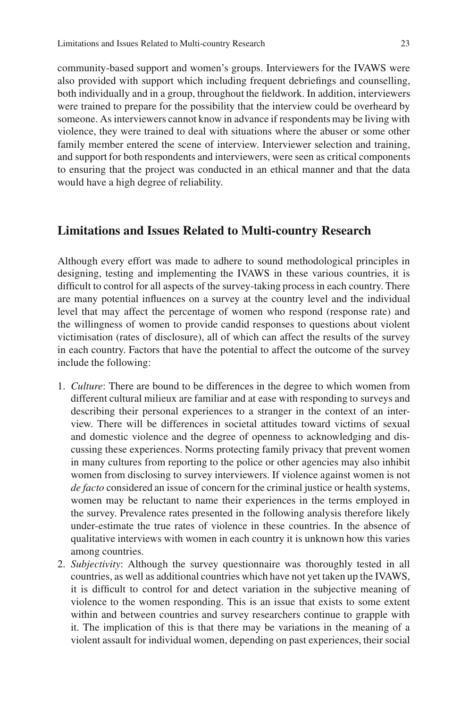community-based support and women's groups. Interviewers for the IVAWS were also provided with support which including frequent debriefings and counselling, both individually and in a group, throughout the fieldwork. In addition, interviewers were trained to prepare for the possibility that the interview could be overheard by someone. As interviewers cannot know in advance if respondents may be living with violence, they were trained to deal with situations where the abuser or some other family member entered the scene of interview. Interviewer selection and training, and support for both respondents and interviewers, were seen as critical components to ensuring that the project was conducted in an ethical manner and that the data would have a high degree of reliability.

#### **Limitations and Issues Related to Multi-country Research**

Although every effort was made to adhere to sound methodological principles in designing, testing and implementing the IVAWS in these various countries, it is difficult to control for all aspects of the survey-taking process in each country. There are many potential influences on a survey at the country level and the individual level that may affect the percentage of women who respond (response rate) and the willingness of women to provide candid responses to questions about violent victimisation (rates of disclosure), all of which can affect the results of the survey in each country. Factors that have the potential to affect the outcome of the survey include the following:

- 1. *Culture*: There are bound to be differences in the degree to which women from different cultural milieux are familiar and at ease with responding to surveys and describing their personal experiences to a stranger in the context of an interview. There will be differences in societal attitudes toward victims of sexual and domestic violence and the degree of openness to acknowledging and discussing these experiences. Norms protecting family privacy that prevent women in many cultures from reporting to the police or other agencies may also inhibit women from disclosing to survey interviewers. If violence against women is not *de facto* considered an issue of concern for the criminal justice or health systems, women may be reluctant to name their experiences in the terms employed in the survey. Prevalence rates presented in the following analysis therefore likely under-estimate the true rates of violence in these countries. In the absence of qualitative interviews with women in each country it is unknown how this varies among countries.
- 2. *Subjectivity*: Although the survey questionnaire was thoroughly tested in all countries, as well as additional countries which have not yet taken up the IVAWS, it is difficult to control for and detect variation in the subjective meaning of violence to the women responding. This is an issue that exists to some extent within and between countries and survey researchers continue to grapple with it. The implication of this is that there may be variations in the meaning of a violent assault for individual women, depending on past experiences, their social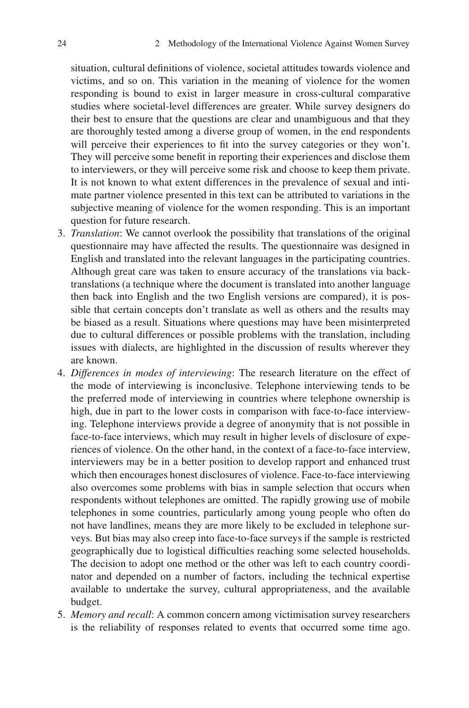situation, cultural definitions of violence, societal attitudes towards violence and victims, and so on. This variation in the meaning of violence for the women responding is bound to exist in larger measure in cross-cultural comparative studies where societal-level differences are greater. While survey designers do their best to ensure that the questions are clear and unambiguous and that they are thoroughly tested among a diverse group of women, in the end respondents will perceive their experiences to fit into the survey categories or they won't. They will perceive some benefit in reporting their experiences and disclose them to interviewers, or they will perceive some risk and choose to keep them private. It is not known to what extent differences in the prevalence of sexual and intimate partner violence presented in this text can be attributed to variations in the subjective meaning of violence for the women responding. This is an important question for future research.

- 3. *Translation*: We cannot overlook the possibility that translations of the original questionnaire may have affected the results. The questionnaire was designed in English and translated into the relevant languages in the participating countries. Although great care was taken to ensure accuracy of the translations via backtranslations (a technique where the document is translated into another language then back into English and the two English versions are compared), it is possible that certain concepts don't translate as well as others and the results may be biased as a result. Situations where questions may have been misinterpreted due to cultural differences or possible problems with the translation, including issues with dialects, are highlighted in the discussion of results wherever they are known.
- 4. *Differences in modes of interviewing*: The research literature on the effect of the mode of interviewing is inconclusive. Telephone interviewing tends to be the preferred mode of interviewing in countries where telephone ownership is high, due in part to the lower costs in comparison with face-to-face interviewing. Telephone interviews provide a degree of anonymity that is not possible in face-to-face interviews, which may result in higher levels of disclosure of experiences of violence. On the other hand, in the context of a face-to-face interview, interviewers may be in a better position to develop rapport and enhanced trust which then encourages honest disclosures of violence. Face-to-face interviewing also overcomes some problems with bias in sample selection that occurs when respondents without telephones are omitted. The rapidly growing use of mobile telephones in some countries, particularly among young people who often do not have landlines, means they are more likely to be excluded in telephone surveys. But bias may also creep into face-to-face surveys if the sample is restricted geographically due to logistical difficulties reaching some selected households. The decision to adopt one method or the other was left to each country coordinator and depended on a number of factors, including the technical expertise available to undertake the survey, cultural appropriateness, and the available budget.
- 5. *Memory and recall*: A common concern among victimisation survey researchers is the reliability of responses related to events that occurred some time ago.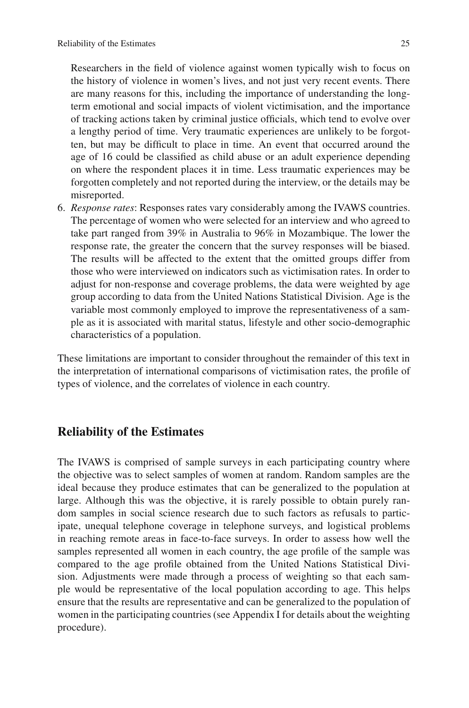Researchers in the field of violence against women typically wish to focus on the history of violence in women's lives, and not just very recent events. There are many reasons for this, including the importance of understanding the longterm emotional and social impacts of violent victimisation, and the importance of tracking actions taken by criminal justice officials, which tend to evolve over a lengthy period of time. Very traumatic experiences are unlikely to be forgotten, but may be difficult to place in time. An event that occurred around the age of 16 could be classified as child abuse or an adult experience depending on where the respondent places it in time. Less traumatic experiences may be forgotten completely and not reported during the interview, or the details may be misreported.

6. *Response rates*: Responses rates vary considerably among the IVAWS countries. The percentage of women who were selected for an interview and who agreed to take part ranged from 39% in Australia to 96% in Mozambique. The lower the response rate, the greater the concern that the survey responses will be biased. The results will be affected to the extent that the omitted groups differ from those who were interviewed on indicators such as victimisation rates. In order to adjust for non-response and coverage problems, the data were weighted by age group according to data from the United Nations Statistical Division. Age is the variable most commonly employed to improve the representativeness of a sample as it is associated with marital status, lifestyle and other socio-demographic characteristics of a population.

These limitations are important to consider throughout the remainder of this text in the interpretation of international comparisons of victimisation rates, the profile of types of violence, and the correlates of violence in each country.

## **Reliability of the Estimates**

The IVAWS is comprised of sample surveys in each participating country where the objective was to select samples of women at random. Random samples are the ideal because they produce estimates that can be generalized to the population at large. Although this was the objective, it is rarely possible to obtain purely random samples in social science research due to such factors as refusals to participate, unequal telephone coverage in telephone surveys, and logistical problems in reaching remote areas in face-to-face surveys. In order to assess how well the samples represented all women in each country, the age profile of the sample was compared to the age profile obtained from the United Nations Statistical Division. Adjustments were made through a process of weighting so that each sample would be representative of the local population according to age. This helps ensure that the results are representative and can be generalized to the population of women in the participating countries (see Appendix I for details about the weighting procedure).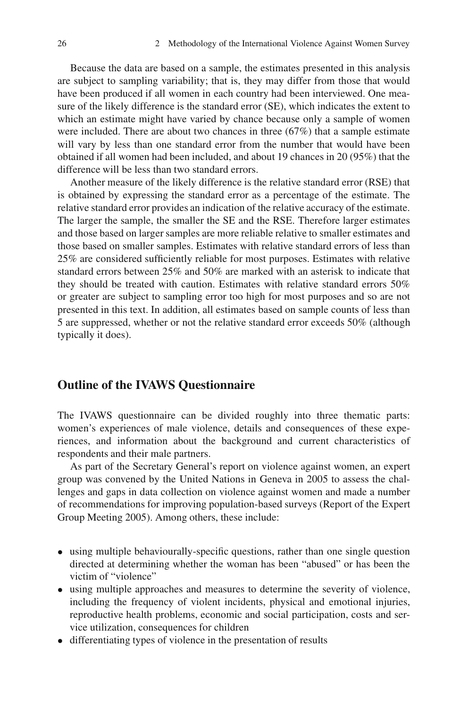Because the data are based on a sample, the estimates presented in this analysis are subject to sampling variability; that is, they may differ from those that would have been produced if all women in each country had been interviewed. One measure of the likely difference is the standard error (SE), which indicates the extent to which an estimate might have varied by chance because only a sample of women were included. There are about two chances in three (67%) that a sample estimate will vary by less than one standard error from the number that would have been obtained if all women had been included, and about 19 chances in 20 (95%) that the difference will be less than two standard errors.

Another measure of the likely difference is the relative standard error (RSE) that is obtained by expressing the standard error as a percentage of the estimate. The relative standard error provides an indication of the relative accuracy of the estimate. The larger the sample, the smaller the SE and the RSE. Therefore larger estimates and those based on larger samples are more reliable relative to smaller estimates and those based on smaller samples. Estimates with relative standard errors of less than 25% are considered sufficiently reliable for most purposes. Estimates with relative standard errors between 25% and 50% are marked with an asterisk to indicate that they should be treated with caution. Estimates with relative standard errors 50% or greater are subject to sampling error too high for most purposes and so are not presented in this text. In addition, all estimates based on sample counts of less than 5 are suppressed, whether or not the relative standard error exceeds 50% (although typically it does).

#### **Outline of the IVAWS Questionnaire**

The IVAWS questionnaire can be divided roughly into three thematic parts: women's experiences of male violence, details and consequences of these experiences, and information about the background and current characteristics of respondents and their male partners.

As part of the Secretary General's report on violence against women, an expert group was convened by the United Nations in Geneva in 2005 to assess the challenges and gaps in data collection on violence against women and made a number of recommendations for improving population-based surveys (Report of the Expert Group Meeting 2005). Among others, these include:

- using multiple behaviourally-specific questions, rather than one single question directed at determining whether the woman has been "abused" or has been the victim of "violence"
- using multiple approaches and measures to determine the severity of violence, including the frequency of violent incidents, physical and emotional injuries, reproductive health problems, economic and social participation, costs and service utilization, consequences for children
- differentiating types of violence in the presentation of results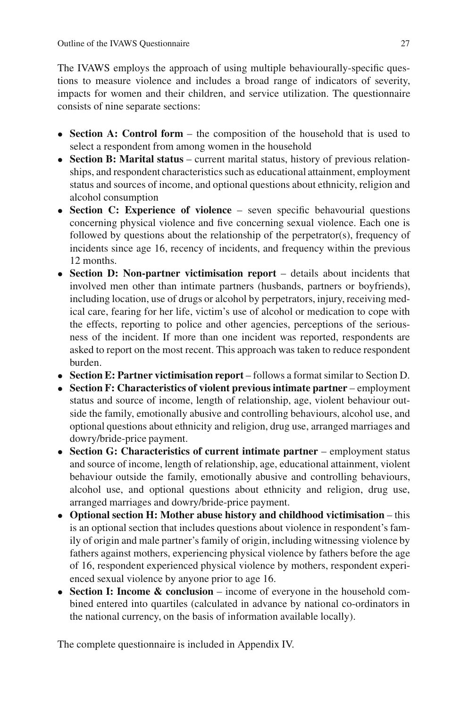The IVAWS employs the approach of using multiple behaviourally-specific questions to measure violence and includes a broad range of indicators of severity, impacts for women and their children, and service utilization. The questionnaire consists of nine separate sections:

- **Section A: Control form** the composition of the household that is used to select a respondent from among women in the household
- **Section B: Marital status** current marital status, history of previous relationships, and respondent characteristics such as educational attainment, employment status and sources of income, and optional questions about ethnicity, religion and alcohol consumption
- **Section C: Experience of violence** seven specific behavourial questions concerning physical violence and five concerning sexual violence. Each one is followed by questions about the relationship of the perpetrator(s), frequency of incidents since age 16, recency of incidents, and frequency within the previous 12 months.
- **Section D: Non-partner victimisation report** details about incidents that involved men other than intimate partners (husbands, partners or boyfriends), including location, use of drugs or alcohol by perpetrators, injury, receiving medical care, fearing for her life, victim's use of alcohol or medication to cope with the effects, reporting to police and other agencies, perceptions of the seriousness of the incident. If more than one incident was reported, respondents are asked to report on the most recent. This approach was taken to reduce respondent burden.
- **Section E: Partner victimisation report** follows a format similar to Section D.
- **Section F: Characteristics of violent previous intimate partner** employment status and source of income, length of relationship, age, violent behaviour outside the family, emotionally abusive and controlling behaviours, alcohol use, and optional questions about ethnicity and religion, drug use, arranged marriages and dowry/bride-price payment.
- **Section G: Characteristics of current intimate partner** employment status and source of income, length of relationship, age, educational attainment, violent behaviour outside the family, emotionally abusive and controlling behaviours, alcohol use, and optional questions about ethnicity and religion, drug use, arranged marriages and dowry/bride-price payment.
- **Optional section H: Mother abuse history and childhood victimisation** this is an optional section that includes questions about violence in respondent's family of origin and male partner's family of origin, including witnessing violence by fathers against mothers, experiencing physical violence by fathers before the age of 16, respondent experienced physical violence by mothers, respondent experienced sexual violence by anyone prior to age 16.
- **Section I: Income & conclusion** income of everyone in the household combined entered into quartiles (calculated in advance by national co-ordinators in the national currency, on the basis of information available locally).

The complete questionnaire is included in Appendix IV.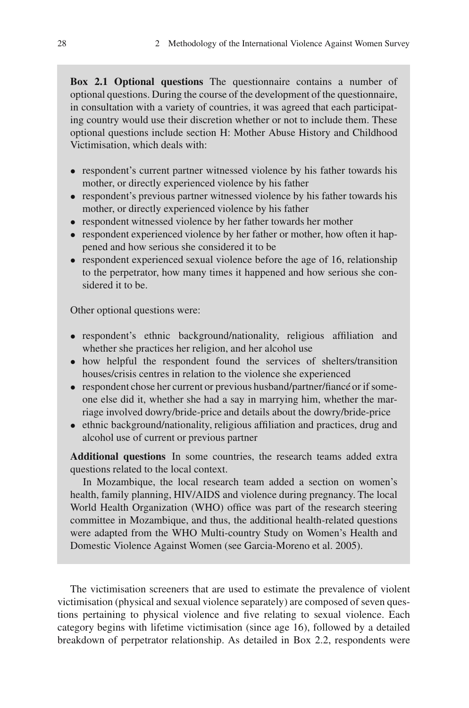**Box 2.1 Optional questions** The questionnaire contains a number of optional questions. During the course of the development of the questionnaire, in consultation with a variety of countries, it was agreed that each participating country would use their discretion whether or not to include them. These optional questions include section H: Mother Abuse History and Childhood Victimisation, which deals with:

- respondent's current partner witnessed violence by his father towards his mother, or directly experienced violence by his father
- respondent's previous partner witnessed violence by his father towards his mother, or directly experienced violence by his father
- respondent witnessed violence by her father towards her mother
- respondent experienced violence by her father or mother, how often it happened and how serious she considered it to be
- respondent experienced sexual violence before the age of 16, relationship to the perpetrator, how many times it happened and how serious she considered it to be.

Other optional questions were:

- respondent's ethnic background/nationality, religious affiliation and whether she practices her religion, and her alcohol use
- how helpful the respondent found the services of shelters/transition houses/crisis centres in relation to the violence she experienced
- respondent chose her current or previous husband/partner/fiancé or if someone else did it, whether she had a say in marrying him, whether the marriage involved dowry/bride-price and details about the dowry/bride-price
- ethnic background/nationality, religious affiliation and practices, drug and alcohol use of current or previous partner

**Additional questions** In some countries, the research teams added extra questions related to the local context.

In Mozambique, the local research team added a section on women's health, family planning, HIV/AIDS and violence during pregnancy. The local World Health Organization (WHO) office was part of the research steering committee in Mozambique, and thus, the additional health-related questions were adapted from the WHO Multi-country Study on Women's Health and Domestic Violence Against Women (see Garcia-Moreno et al. 2005).

The victimisation screeners that are used to estimate the prevalence of violent victimisation (physical and sexual violence separately) are composed of seven questions pertaining to physical violence and five relating to sexual violence. Each category begins with lifetime victimisation (since age 16), followed by a detailed breakdown of perpetrator relationship. As detailed in Box 2.2, respondents were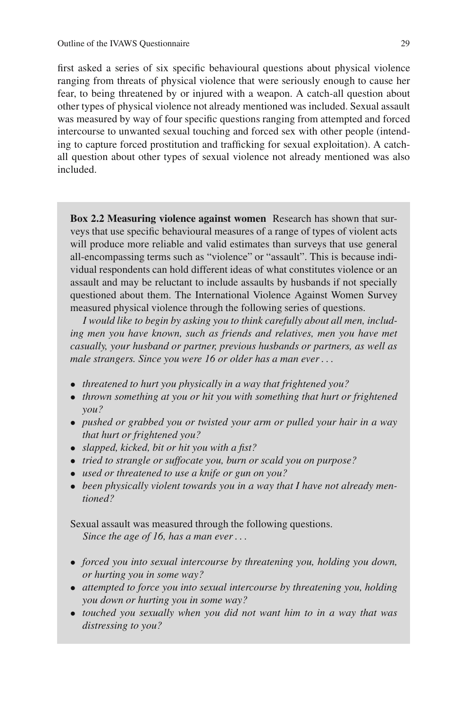first asked a series of six specific behavioural questions about physical violence ranging from threats of physical violence that were seriously enough to cause her fear, to being threatened by or injured with a weapon. A catch-all question about other types of physical violence not already mentioned was included. Sexual assault was measured by way of four specific questions ranging from attempted and forced intercourse to unwanted sexual touching and forced sex with other people (intending to capture forced prostitution and trafficking for sexual exploitation). A catchall question about other types of sexual violence not already mentioned was also included.

**Box 2.2 Measuring violence against women** Research has shown that surveys that use specific behavioural measures of a range of types of violent acts will produce more reliable and valid estimates than surveys that use general all-encompassing terms such as "violence" or "assault". This is because individual respondents can hold different ideas of what constitutes violence or an assault and may be reluctant to include assaults by husbands if not specially questioned about them. The International Violence Against Women Survey measured physical violence through the following series of questions.

*I would like to begin by asking you to think carefully about all men, including men you have known, such as friends and relatives, men you have met casually, your husband or partner, previous husbands or partners, as well as male strangers. Since you were 16 or older has a man ever*...

- *threatened to hurt you physically in a way that frightened you?*
- *thrown something at you or hit you with something that hurt or frightened you?*
- *pushed or grabbed you or twisted your arm or pulled your hair in a way that hurt or frightened you?*
- *slapped, kicked, bit or hit you with a fist?*
- *tried to strangle or suffocate you, burn or scald you on purpose?*
- *used or threatened to use a knife or gun on you?*
- *been physically violent towards you in a way that I have not already mentioned?*

Sexual assault was measured through the following questions. *Since the age of 16, has a man ever*...

- *forced you into sexual intercourse by threatening you, holding you down, or hurting you in some way?*
- *attempted to force you into sexual intercourse by threatening you, holding you down or hurting you in some way?*
- *touched you sexually when you did not want him to in a way that was distressing to you?*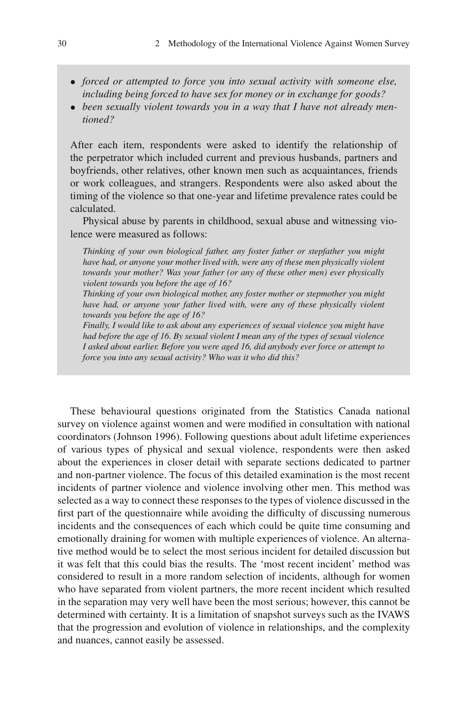- *forced or attempted to force you into sexual activity with someone else, including being forced to have sex for money or in exchange for goods?*
- *been sexually violent towards you in a way that I have not already mentioned?*

After each item, respondents were asked to identify the relationship of the perpetrator which included current and previous husbands, partners and boyfriends, other relatives, other known men such as acquaintances, friends or work colleagues, and strangers. Respondents were also asked about the timing of the violence so that one-year and lifetime prevalence rates could be calculated.

Physical abuse by parents in childhood, sexual abuse and witnessing violence were measured as follows:

*Thinking of your own biological father, any foster father or stepfather you might have had, or anyone your mother lived with, were any of these men physically violent towards your mother? Was your father (or any of these other men) ever physically violent towards you before the age of 16?*

*Thinking of your own biological mother, any foster mother or stepmother you might have had, or anyone your father lived with, were any of these physically violent towards you before the age of 16?*

*Finally, I would like to ask about any experiences of sexual violence you might have had before the age of 16. By sexual violent I mean any of the types of sexual violence I asked about earlier. Before you were aged 16, did anybody ever force or attempt to force you into any sexual activity? Who was it who did this?*

These behavioural questions originated from the Statistics Canada national survey on violence against women and were modified in consultation with national coordinators (Johnson 1996). Following questions about adult lifetime experiences of various types of physical and sexual violence, respondents were then asked about the experiences in closer detail with separate sections dedicated to partner and non-partner violence. The focus of this detailed examination is the most recent incidents of partner violence and violence involving other men. This method was selected as a way to connect these responses to the types of violence discussed in the first part of the questionnaire while avoiding the difficulty of discussing numerous incidents and the consequences of each which could be quite time consuming and emotionally draining for women with multiple experiences of violence. An alternative method would be to select the most serious incident for detailed discussion but it was felt that this could bias the results. The 'most recent incident' method was considered to result in a more random selection of incidents, although for women who have separated from violent partners, the more recent incident which resulted in the separation may very well have been the most serious; however, this cannot be determined with certainty. It is a limitation of snapshot surveys such as the IVAWS that the progression and evolution of violence in relationships, and the complexity and nuances, cannot easily be assessed.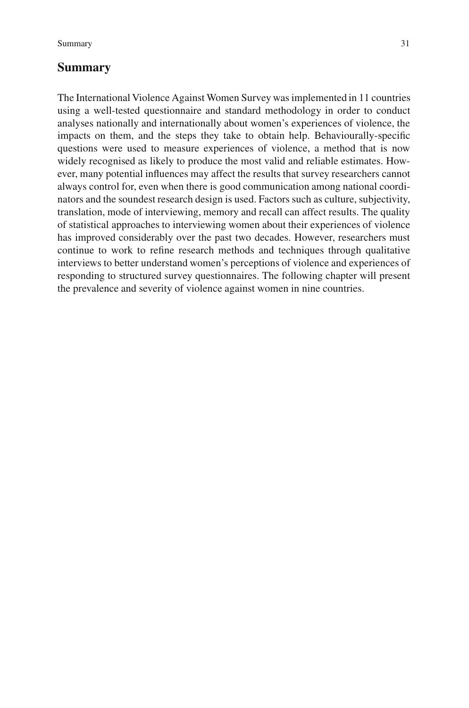## **Summary**

The International Violence Against Women Survey was implemented in 11 countries using a well-tested questionnaire and standard methodology in order to conduct analyses nationally and internationally about women's experiences of violence, the impacts on them, and the steps they take to obtain help. Behaviourally-specific questions were used to measure experiences of violence, a method that is now widely recognised as likely to produce the most valid and reliable estimates. However, many potential influences may affect the results that survey researchers cannot always control for, even when there is good communication among national coordinators and the soundest research design is used. Factors such as culture, subjectivity, translation, mode of interviewing, memory and recall can affect results. The quality of statistical approaches to interviewing women about their experiences of violence has improved considerably over the past two decades. However, researchers must continue to work to refine research methods and techniques through qualitative interviews to better understand women's perceptions of violence and experiences of responding to structured survey questionnaires. The following chapter will present the prevalence and severity of violence against women in nine countries.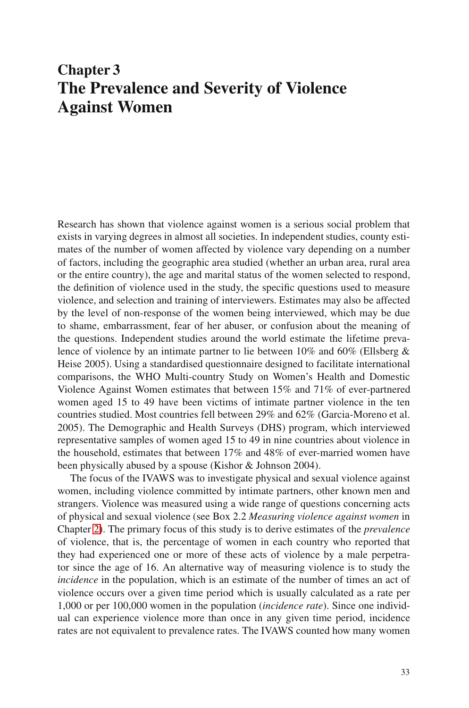# <span id="page-15-0"></span>**Chapter 3 The Prevalence and Severity of Violence Against Women**

Research has shown that violence against women is a serious social problem that exists in varying degrees in almost all societies. In independent studies, county estimates of the number of women affected by violence vary depending on a number of factors, including the geographic area studied (whether an urban area, rural area or the entire country), the age and marital status of the women selected to respond, the definition of violence used in the study, the specific questions used to measure violence, and selection and training of interviewers. Estimates may also be affected by the level of non-response of the women being interviewed, which may be due to shame, embarrassment, fear of her abuser, or confusion about the meaning of the questions. Independent studies around the world estimate the lifetime prevalence of violence by an intimate partner to lie between 10% and 60% (Ellsberg & Heise 2005). Using a standardised questionnaire designed to facilitate international comparisons, the WHO Multi-country Study on Women's Health and Domestic Violence Against Women estimates that between 15% and 71% of ever-partnered women aged 15 to 49 have been victims of intimate partner violence in the ten countries studied. Most countries fell between 29% and 62% (Garcia-Moreno et al. 2005). The Demographic and Health Surveys (DHS) program, which interviewed representative samples of women aged 15 to 49 in nine countries about violence in the household, estimates that between 17% and 48% of ever-married women have been physically abused by a spouse (Kishor & Johnson 2004).

The focus of the IVAWS was to investigate physical and sexual violence against women, including violence committed by intimate partners, other known men and strangers. Violence was measured using a wide range of questions concerning acts of physical and sexual violence (see Box 2.2 *Measuring violence against women* in Chapter [2\)](#page-15-0). The primary focus of this study is to derive estimates of the *prevalence* of violence, that is, the percentage of women in each country who reported that they had experienced one or more of these acts of violence by a male perpetrator since the age of 16. An alternative way of measuring violence is to study the *incidence* in the population, which is an estimate of the number of times an act of violence occurs over a given time period which is usually calculated as a rate per 1,000 or per 100,000 women in the population (*incidence rate*). Since one individual can experience violence more than once in any given time period, incidence rates are not equivalent to prevalence rates. The IVAWS counted how many women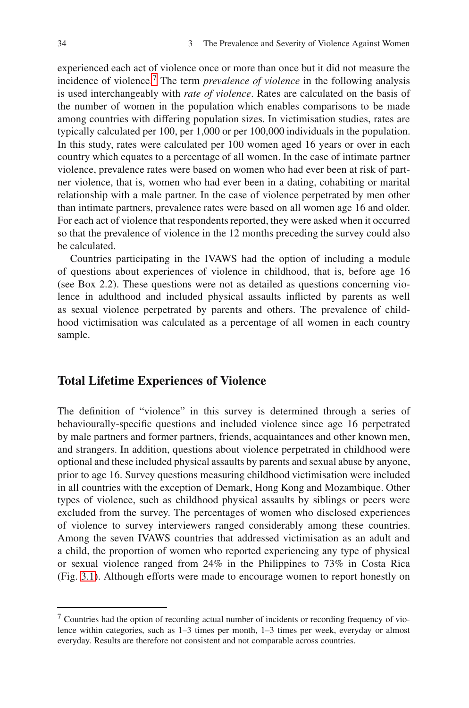experienced each act of violence once or more than once but it did not measure the incidence of violence.<sup>7</sup> The term *prevalence of violence* in the following analysis is used interchangeably with *rate of violence*. Rates are calculated on the basis of the number of women in the population which enables comparisons to be made among countries with differing population sizes. In victimisation studies, rates are typically calculated per 100, per 1,000 or per 100,000 individuals in the population. In this study, rates were calculated per 100 women aged 16 years or over in each country which equates to a percentage of all women. In the case of intimate partner violence, prevalence rates were based on women who had ever been at risk of partner violence, that is, women who had ever been in a dating, cohabiting or marital relationship with a male partner. In the case of violence perpetrated by men other than intimate partners, prevalence rates were based on all women age 16 and older. For each act of violence that respondents reported, they were asked when it occurred so that the prevalence of violence in the 12 months preceding the survey could also be calculated.

Countries participating in the IVAWS had the option of including a module of questions about experiences of violence in childhood, that is, before age 16 (see Box 2.2). These questions were not as detailed as questions concerning violence in adulthood and included physical assaults inflicted by parents as well as sexual violence perpetrated by parents and others. The prevalence of childhood victimisation was calculated as a percentage of all women in each country sample.

## **Total Lifetime Experiences of Violence**

The definition of "violence" in this survey is determined through a series of behaviourally-specific questions and included violence since age 16 perpetrated by male partners and former partners, friends, acquaintances and other known men, and strangers. In addition, questions about violence perpetrated in childhood were optional and these included physical assaults by parents and sexual abuse by anyone, prior to age 16. Survey questions measuring childhood victimisation were included in all countries with the exception of Demark, Hong Kong and Mozambique. Other types of violence, such as childhood physical assaults by siblings or peers were excluded from the survey. The percentages of women who disclosed experiences of violence to survey interviewers ranged considerably among these countries. Among the seven IVAWS countries that addressed victimisation as an adult and a child, the proportion of women who reported experiencing any type of physical or sexual violence ranged from 24% in the Philippines to 73% in Costa Rica (Fig. [3.1\)](#page-17-0). Although efforts were made to encourage women to report honestly on

<sup>7</sup> Countries had the option of recording actual number of incidents or recording frequency of violence within categories, such as 1–3 times per month, 1–3 times per week, everyday or almost everyday. Results are therefore not consistent and not comparable across countries.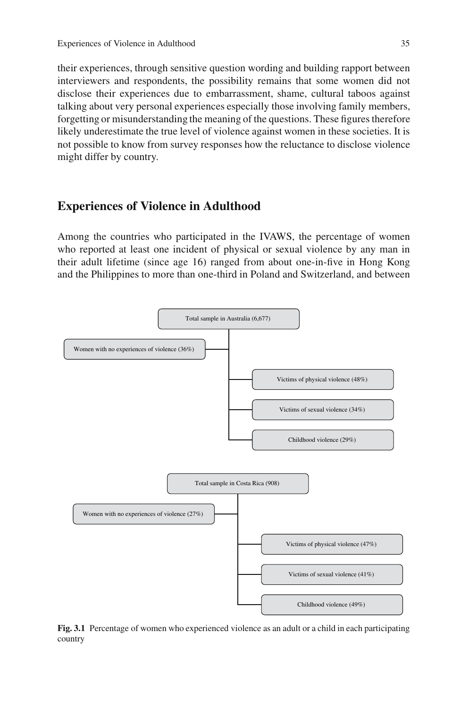their experiences, through sensitive question wording and building rapport between interviewers and respondents, the possibility remains that some women did not disclose their experiences due to embarrassment, shame, cultural taboos against talking about very personal experiences especially those involving family members, forgetting or misunderstanding the meaning of the questions. These figures therefore likely underestimate the true level of violence against women in these societies. It is not possible to know from survey responses how the reluctance to disclose violence might differ by country.

#### **Experiences of Violence in Adulthood**

Among the countries who participated in the IVAWS, the percentage of women who reported at least one incident of physical or sexual violence by any man in their adult lifetime (since age 16) ranged from about one-in-five in Hong Kong and the Philippines to more than one-third in Poland and Switzerland, and between



<span id="page-17-0"></span>**Fig. 3.1** Percentage of women who experienced violence as an adult or a child in each participating country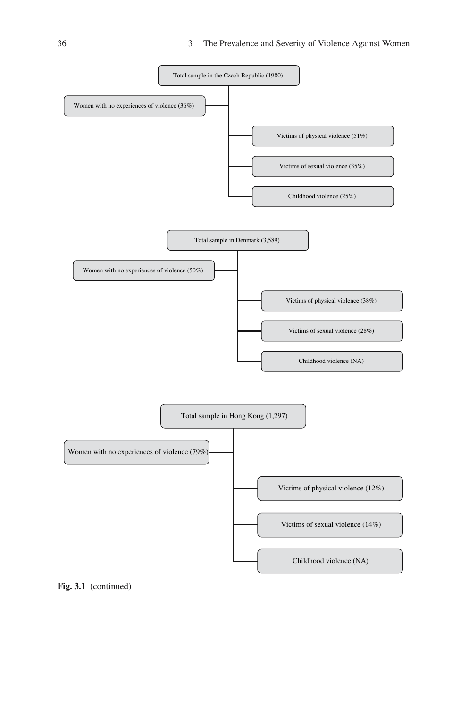

**Fig. 3.1** (continued)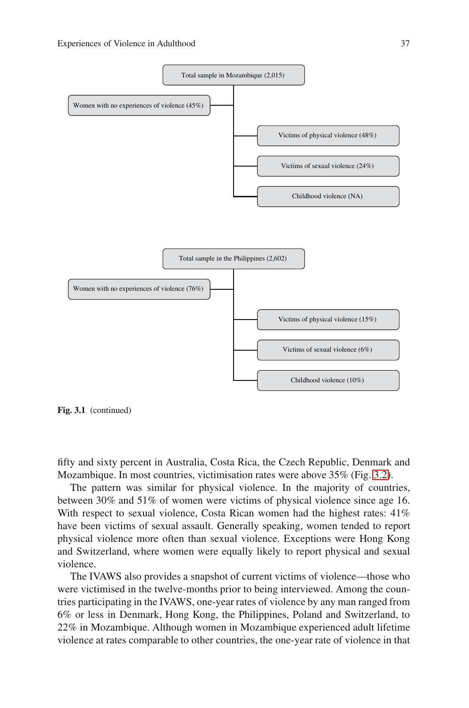

**Fig. 3.1** (continued)

fifty and sixty percent in Australia, Costa Rica, the Czech Republic, Denmark and Mozambique. In most countries, victimisation rates were above 35% (Fig. [3.2\)](#page-21-0).

The pattern was similar for physical violence. In the majority of countries, between 30% and 51% of women were victims of physical violence since age 16. With respect to sexual violence, Costa Rican women had the highest rates:  $41\%$ have been victims of sexual assault. Generally speaking, women tended to report physical violence more often than sexual violence. Exceptions were Hong Kong and Switzerland, where women were equally likely to report physical and sexual violence.

The IVAWS also provides a snapshot of current victims of violence—those who were victimised in the twelve-months prior to being interviewed. Among the countries participating in the IVAWS, one-year rates of violence by any man ranged from 6% or less in Denmark, Hong Kong, the Philippines, Poland and Switzerland, to 22% in Mozambique. Although women in Mozambique experienced adult lifetime violence at rates comparable to other countries, the one-year rate of violence in that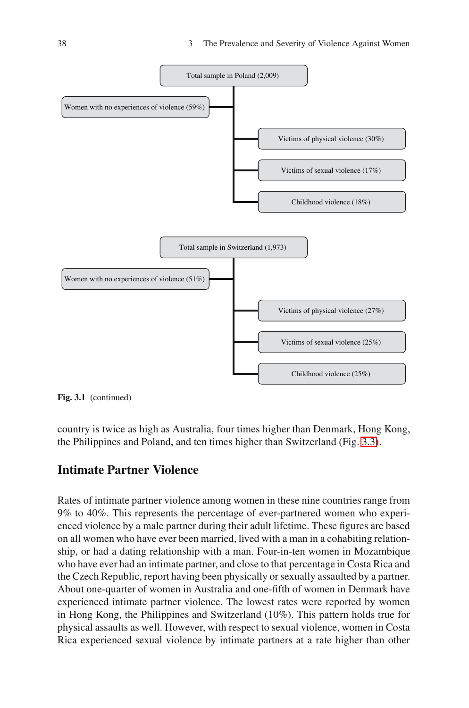

Fig. 3.1 (continued)

country is twice as high as Australia, four times higher than Denmark, Hong Kong, the Philippines and Poland, and ten times higher than Switzerland (Fig. [3.3\)](#page-21-1).

## **Intimate Partner Violence**

Rates of intimate partner violence among women in these nine countries range from 9% to 40%. This represents the percentage of ever-partnered women who experienced violence by a male partner during their adult lifetime. These figures are based on all women who have ever been married, lived with a man in a cohabiting relationship, or had a dating relationship with a man. Four-in-ten women in Mozambique who have ever had an intimate partner, and close to that percentage in Costa Rica and the Czech Republic, report having been physically or sexually assaulted by a partner. About one-quarter of women in Australia and one-fifth of women in Denmark have experienced intimate partner violence. The lowest rates were reported by women in Hong Kong, the Philippines and Switzerland (10%). This pattern holds true for physical assaults as well. However, with respect to sexual violence, women in Costa Rica experienced sexual violence by intimate partners at a rate higher than other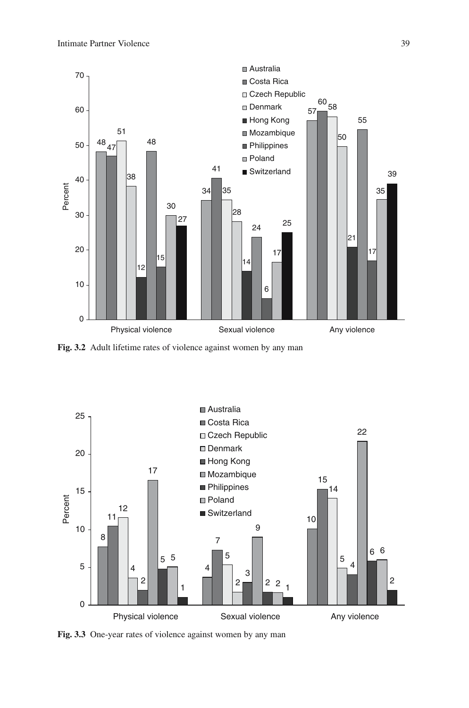

<span id="page-21-0"></span>**Fig. 3.2** Adult lifetime rates of violence against women by any man



<span id="page-21-1"></span>**Fig. 3.3** One-year rates of violence against women by any man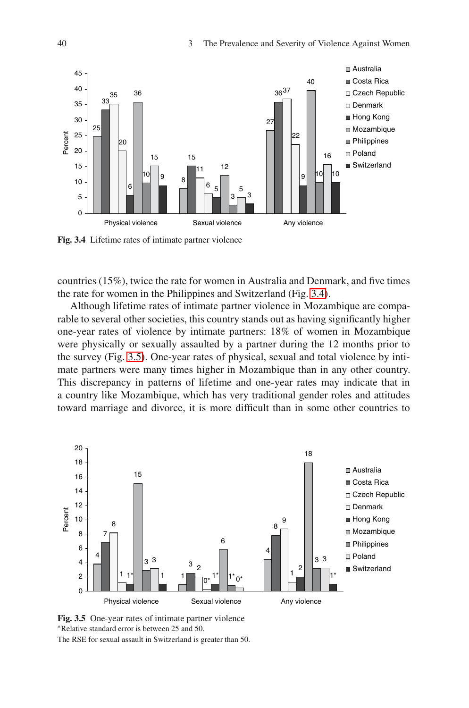

<span id="page-22-0"></span>**Fig. 3.4** Lifetime rates of intimate partner violence

countries (15%), twice the rate for women in Australia and Denmark, and five times the rate for women in the Philippines and Switzerland (Fig. [3.4\)](#page-22-0).

Although lifetime rates of intimate partner violence in Mozambique are comparable to several other societies, this country stands out as having significantly higher one-year rates of violence by intimate partners: 18% of women in Mozambique were physically or sexually assaulted by a partner during the 12 months prior to the survey (Fig. [3.5\)](#page-22-1). One-year rates of physical, sexual and total violence by intimate partners were many times higher in Mozambique than in any other country. This discrepancy in patterns of lifetime and one-year rates may indicate that in a country like Mozambique, which has very traditional gender roles and attitudes toward marriage and divorce, it is more difficult than in some other countries to



<span id="page-22-1"></span>**Fig. 3.5** One-year rates of intimate partner violence <sup>∗</sup>Relative standard error is between 25 and 50. The RSE for sexual assault in Switzerland is greater than 50.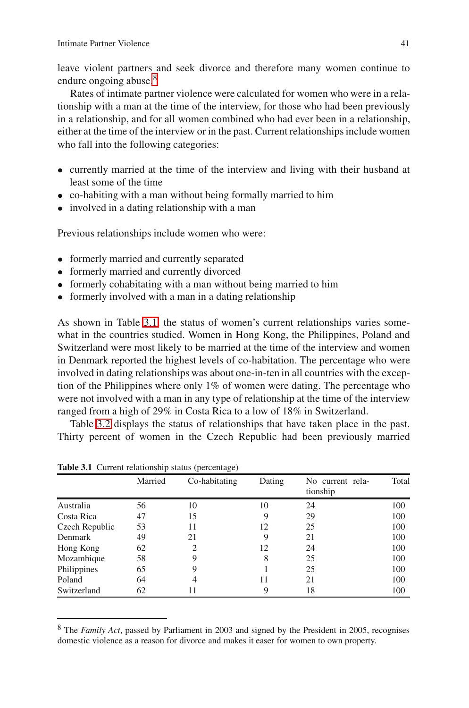leave violent partners and seek divorce and therefore many women continue to endure ongoing abuse.<sup>8</sup>

Rates of intimate partner violence were calculated for women who were in a relationship with a man at the time of the interview, for those who had been previously in a relationship, and for all women combined who had ever been in a relationship, either at the time of the interview or in the past. Current relationships include women who fall into the following categories:

- currently married at the time of the interview and living with their husband at least some of the time
- co-habiting with a man without being formally married to him
- involved in a dating relationship with a man

Previous relationships include women who were:

- formerly married and currently separated
- formerly married and currently divorced
- formerly cohabitating with a man without being married to him
- formerly involved with a man in a dating relationship

As shown in Table [3.1,](#page-23-0) the status of women's current relationships varies somewhat in the countries studied. Women in Hong Kong, the Philippines, Poland and Switzerland were most likely to be married at the time of the interview and women in Denmark reported the highest levels of co-habitation. The percentage who were involved in dating relationships was about one-in-ten in all countries with the exception of the Philippines where only 1% of women were dating. The percentage who were not involved with a man in any type of relationship at the time of the interview ranged from a high of 29% in Costa Rica to a low of 18% in Switzerland.

Table [3.2](#page-24-0) displays the status of relationships that have taken place in the past. Thirty percent of women in the Czech Republic had been previously married

<span id="page-23-0"></span>

|                | Married | Co-habitating | Dating | No current rela-<br>tionship | Total |
|----------------|---------|---------------|--------|------------------------------|-------|
| Australia      | 56      | 10            | 10     | 24                           | 100   |
| Costa Rica     | 47      | 15            | 9      | 29                           | 100   |
| Czech Republic | 53      | 11            | 12     | 25                           | 100   |
| <b>Denmark</b> | 49      | 21            | 9      | 21                           | 100   |
| Hong Kong      | 62      | 2             | 12     | 24                           | 100   |
| Mozambique     | 58      | 9             | 8      | 25                           | 100   |
| Philippines    | 65      | 9             |        | 25                           | 100   |
| Poland         | 64      | 4             | 11     | 21                           | 100   |
| Switzerland    | 62      | 11            | 9      | 18                           | 100   |

**Table 3.1** Current relationship status (percentage)

<sup>8</sup> The *Family Act*, passed by Parliament in 2003 and signed by the President in 2005, recognises domestic violence as a reason for divorce and makes it easer for women to own property.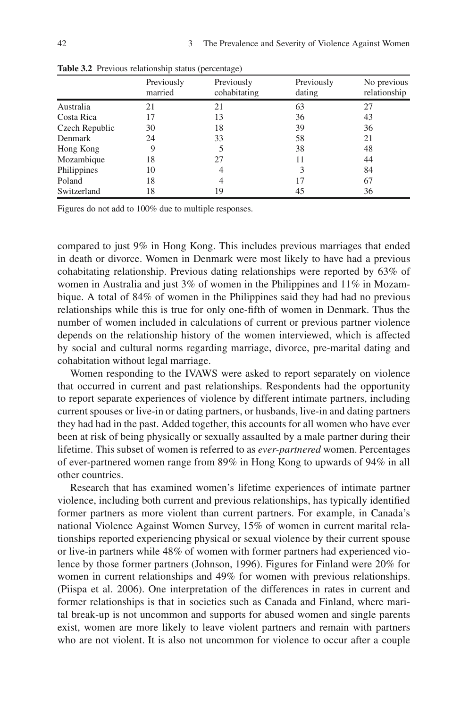<span id="page-24-0"></span>

|                | Previously<br>married | Previously<br>cohabitating | Previously<br>dating | No previous<br>relationship |
|----------------|-----------------------|----------------------------|----------------------|-----------------------------|
| Australia      | 21                    | 21                         | 63                   | 27                          |
| Costa Rica     | 17                    | 13                         | 36                   | 43                          |
| Czech Republic | 30                    | 18                         | 39                   | 36                          |
| Denmark        | 24                    | 33                         | 58                   | 21                          |
| Hong Kong      | 9                     |                            | 38                   | 48                          |
| Mozambique     | 18                    | 27                         | 11                   | 44                          |
| Philippines    | 10                    | 4                          | 3                    | 84                          |
| Poland         | 18                    | 4                          | 17                   | 67                          |
| Switzerland    | 18                    | 19                         | 45                   | 36                          |

**Table 3.2** Previous relationship status (percentage)

Figures do not add to 100% due to multiple responses.

compared to just 9% in Hong Kong. This includes previous marriages that ended in death or divorce. Women in Denmark were most likely to have had a previous cohabitating relationship. Previous dating relationships were reported by 63% of women in Australia and just 3% of women in the Philippines and 11% in Mozambique. A total of 84% of women in the Philippines said they had had no previous relationships while this is true for only one-fifth of women in Denmark. Thus the number of women included in calculations of current or previous partner violence depends on the relationship history of the women interviewed, which is affected by social and cultural norms regarding marriage, divorce, pre-marital dating and cohabitation without legal marriage.

Women responding to the IVAWS were asked to report separately on violence that occurred in current and past relationships. Respondents had the opportunity to report separate experiences of violence by different intimate partners, including current spouses or live-in or dating partners, or husbands, live-in and dating partners they had had in the past. Added together, this accounts for all women who have ever been at risk of being physically or sexually assaulted by a male partner during their lifetime. This subset of women is referred to as *ever-partnered* women. Percentages of ever-partnered women range from 89% in Hong Kong to upwards of 94% in all other countries.

Research that has examined women's lifetime experiences of intimate partner violence, including both current and previous relationships, has typically identified former partners as more violent than current partners. For example, in Canada's national Violence Against Women Survey, 15% of women in current marital relationships reported experiencing physical or sexual violence by their current spouse or live-in partners while 48% of women with former partners had experienced violence by those former partners (Johnson, 1996). Figures for Finland were 20% for women in current relationships and 49% for women with previous relationships. (Piispa et al. 2006). One interpretation of the differences in rates in current and former relationships is that in societies such as Canada and Finland, where marital break-up is not uncommon and supports for abused women and single parents exist, women are more likely to leave violent partners and remain with partners who are not violent. It is also not uncommon for violence to occur after a couple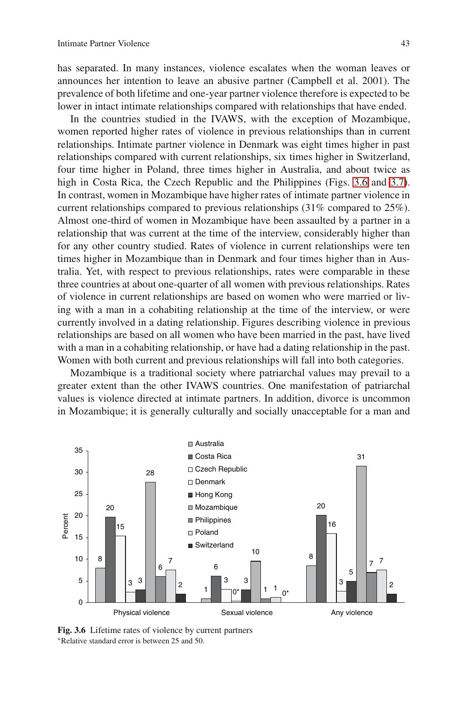has separated. In many instances, violence escalates when the woman leaves or announces her intention to leave an abusive partner (Campbell et al. 2001). The prevalence of both lifetime and one-year partner violence therefore is expected to be lower in intact intimate relationships compared with relationships that have ended.

In the countries studied in the IVAWS, with the exception of Mozambique, women reported higher rates of violence in previous relationships than in current relationships. Intimate partner violence in Denmark was eight times higher in past relationships compared with current relationships, six times higher in Switzerland, four time higher in Poland, three times higher in Australia, and about twice as high in Costa Rica, the Czech Republic and the Philippines (Figs. [3.6](#page-25-0) and [3.7\)](#page-26-0). In contrast, women in Mozambique have higher rates of intimate partner violence in current relationships compared to previous relationships (31% compared to 25%). Almost one-third of women in Mozambique have been assaulted by a partner in a relationship that was current at the time of the interview, considerably higher than for any other country studied. Rates of violence in current relationships were ten times higher in Mozambique than in Denmark and four times higher than in Australia. Yet, with respect to previous relationships, rates were comparable in these three countries at about one-quarter of all women with previous relationships. Rates of violence in current relationships are based on women who were married or living with a man in a cohabiting relationship at the time of the interview, or were currently involved in a dating relationship. Figures describing violence in previous relationships are based on all women who have been married in the past, have lived with a man in a cohabiting relationship, or have had a dating relationship in the past. Women with both current and previous relationships will fall into both categories.

Mozambique is a traditional society where patriarchal values may prevail to a greater extent than the other IVAWS countries. One manifestation of patriarchal values is violence directed at intimate partners. In addition, divorce is uncommon in Mozambique; it is generally culturally and socially unacceptable for a man and



<span id="page-25-0"></span>**Fig. 3.6** Lifetime rates of violence by current partners <sup>∗</sup>Relative standard error is between 25 and 50.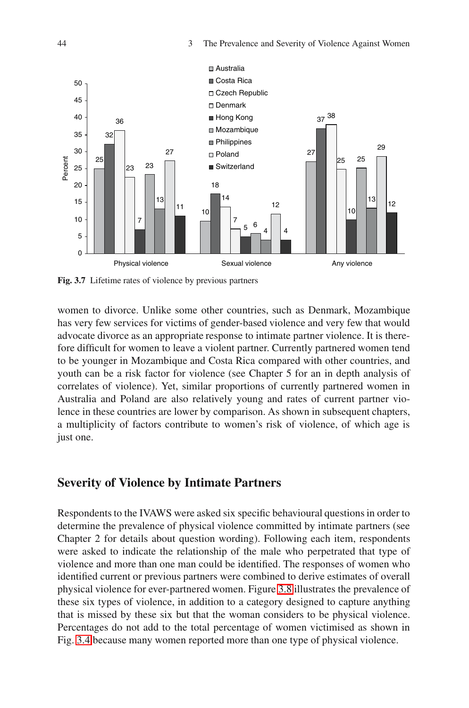

<span id="page-26-0"></span>**Fig. 3.7** Lifetime rates of violence by previous partners

women to divorce. Unlike some other countries, such as Denmark, Mozambique has very few services for victims of gender-based violence and very few that would advocate divorce as an appropriate response to intimate partner violence. It is therefore difficult for women to leave a violent partner. Currently partnered women tend to be younger in Mozambique and Costa Rica compared with other countries, and youth can be a risk factor for violence (see Chapter 5 for an in depth analysis of correlates of violence). Yet, similar proportions of currently partnered women in Australia and Poland are also relatively young and rates of current partner violence in these countries are lower by comparison. As shown in subsequent chapters, a multiplicity of factors contribute to women's risk of violence, of which age is just one.

#### **Severity of Violence by Intimate Partners**

Respondents to the IVAWS were asked six specific behavioural questions in order to determine the prevalence of physical violence committed by intimate partners (see Chapter 2 for details about question wording). Following each item, respondents were asked to indicate the relationship of the male who perpetrated that type of violence and more than one man could be identified. The responses of women who identified current or previous partners were combined to derive estimates of overall physical violence for ever-partnered women. Figure [3.8](#page-27-0) illustrates the prevalence of these six types of violence, in addition to a category designed to capture anything that is missed by these six but that the woman considers to be physical violence. Percentages do not add to the total percentage of women victimised as shown in Fig. [3.4](#page-22-0) because many women reported more than one type of physical violence.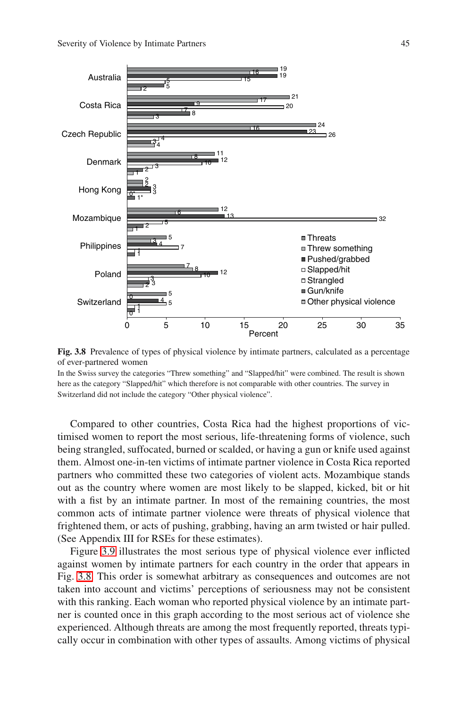

<span id="page-27-0"></span>**Fig. 3.8** Prevalence of types of physical violence by intimate partners, calculated as a percentage of ever-partnered women

In the Swiss survey the categories "Threw something" and "Slapped/hit" were combined. The result is shown here as the category "Slapped/hit" which therefore is not comparable with other countries. The survey in Switzerland did not include the category "Other physical violence".

Compared to other countries, Costa Rica had the highest proportions of victimised women to report the most serious, life-threatening forms of violence, such being strangled, suffocated, burned or scalded, or having a gun or knife used against them. Almost one-in-ten victims of intimate partner violence in Costa Rica reported partners who committed these two categories of violent acts. Mozambique stands out as the country where women are most likely to be slapped, kicked, bit or hit with a fist by an intimate partner. In most of the remaining countries, the most common acts of intimate partner violence were threats of physical violence that frightened them, or acts of pushing, grabbing, having an arm twisted or hair pulled. (See Appendix III for RSEs for these estimates).

Figure [3.9](#page-28-0) illustrates the most serious type of physical violence ever inflicted against women by intimate partners for each country in the order that appears in Fig. [3.8.](#page-27-0) This order is somewhat arbitrary as consequences and outcomes are not taken into account and victims' perceptions of seriousness may not be consistent with this ranking. Each woman who reported physical violence by an intimate partner is counted once in this graph according to the most serious act of violence she experienced. Although threats are among the most frequently reported, threats typically occur in combination with other types of assaults. Among victims of physical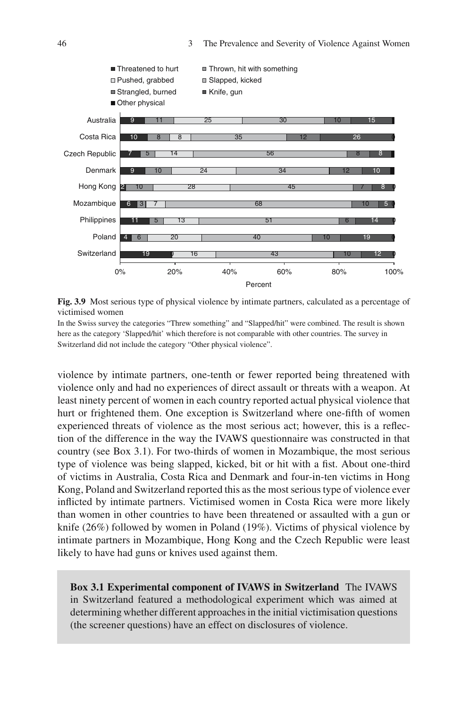

<span id="page-28-0"></span>**Fig. 3.9** Most serious type of physical violence by intimate partners, calculated as a percentage of victimised women

In the Swiss survey the categories "Threw something" and "Slapped/hit" were combined. The result is shown here as the category 'Slapped/hit' which therefore is not comparable with other countries. The survey in Switzerland did not include the category "Other physical violence".

violence by intimate partners, one-tenth or fewer reported being threatened with violence only and had no experiences of direct assault or threats with a weapon. At least ninety percent of women in each country reported actual physical violence that hurt or frightened them. One exception is Switzerland where one-fifth of women experienced threats of violence as the most serious act; however, this is a reflection of the difference in the way the IVAWS questionnaire was constructed in that country (see Box 3.1). For two-thirds of women in Mozambique, the most serious type of violence was being slapped, kicked, bit or hit with a fist. About one-third of victims in Australia, Costa Rica and Denmark and four-in-ten victims in Hong Kong, Poland and Switzerland reported this as the most serious type of violence ever inflicted by intimate partners. Victimised women in Costa Rica were more likely than women in other countries to have been threatened or assaulted with a gun or knife (26%) followed by women in Poland (19%). Victims of physical violence by intimate partners in Mozambique, Hong Kong and the Czech Republic were least likely to have had guns or knives used against them.

**Box 3.1 Experimental component of IVAWS in Switzerland** The IVAWS in Switzerland featured a methodological experiment which was aimed at determining whether different approaches in the initial victimisation questions (the screener questions) have an effect on disclosures of violence.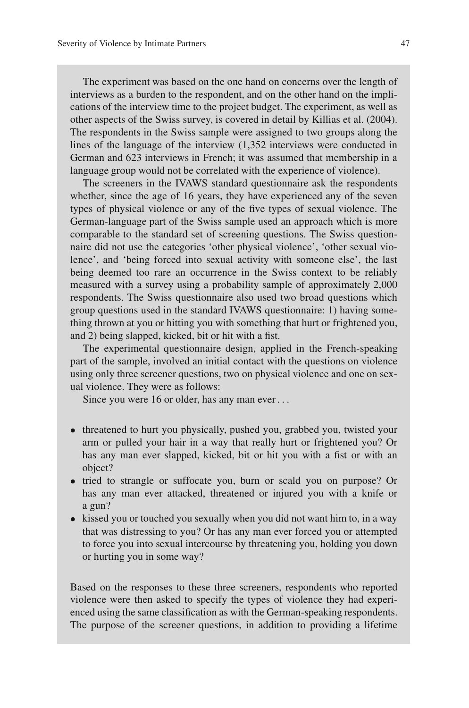The experiment was based on the one hand on concerns over the length of interviews as a burden to the respondent, and on the other hand on the implications of the interview time to the project budget. The experiment, as well as other aspects of the Swiss survey, is covered in detail by Killias et al. (2004). The respondents in the Swiss sample were assigned to two groups along the lines of the language of the interview (1,352 interviews were conducted in German and 623 interviews in French; it was assumed that membership in a language group would not be correlated with the experience of violence).

The screeners in the IVAWS standard questionnaire ask the respondents whether, since the age of 16 years, they have experienced any of the seven types of physical violence or any of the five types of sexual violence. The German-language part of the Swiss sample used an approach which is more comparable to the standard set of screening questions. The Swiss questionnaire did not use the categories 'other physical violence', 'other sexual violence', and 'being forced into sexual activity with someone else', the last being deemed too rare an occurrence in the Swiss context to be reliably measured with a survey using a probability sample of approximately 2,000 respondents. The Swiss questionnaire also used two broad questions which group questions used in the standard IVAWS questionnaire: 1) having something thrown at you or hitting you with something that hurt or frightened you, and 2) being slapped, kicked, bit or hit with a fist.

The experimental questionnaire design, applied in the French-speaking part of the sample, involved an initial contact with the questions on violence using only three screener questions, two on physical violence and one on sexual violence. They were as follows:

Since you were 16 or older, has any man ever...

- threatened to hurt you physically, pushed you, grabbed you, twisted your arm or pulled your hair in a way that really hurt or frightened you? Or has any man ever slapped, kicked, bit or hit you with a fist or with an object?
- tried to strangle or suffocate you, burn or scald you on purpose? Or has any man ever attacked, threatened or injured you with a knife or a gun?
- kissed you or touched you sexually when you did not want him to, in a way that was distressing to you? Or has any man ever forced you or attempted to force you into sexual intercourse by threatening you, holding you down or hurting you in some way?

Based on the responses to these three screeners, respondents who reported violence were then asked to specify the types of violence they had experienced using the same classification as with the German-speaking respondents. The purpose of the screener questions, in addition to providing a lifetime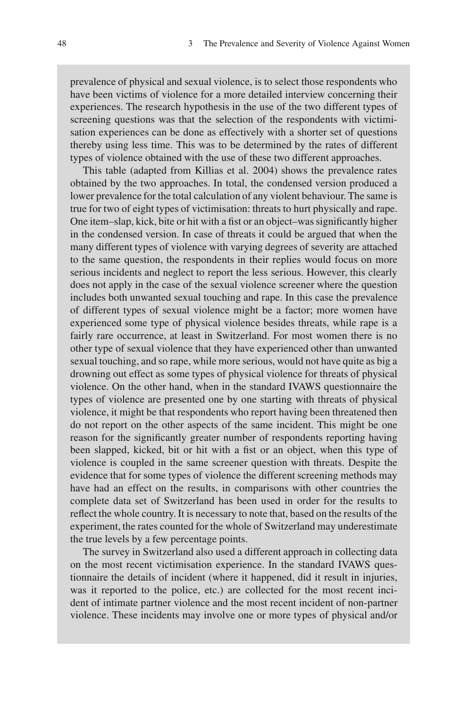prevalence of physical and sexual violence, is to select those respondents who have been victims of violence for a more detailed interview concerning their experiences. The research hypothesis in the use of the two different types of screening questions was that the selection of the respondents with victimisation experiences can be done as effectively with a shorter set of questions thereby using less time. This was to be determined by the rates of different types of violence obtained with the use of these two different approaches.

This table (adapted from Killias et al. 2004) shows the prevalence rates obtained by the two approaches. In total, the condensed version produced a lower prevalence for the total calculation of any violent behaviour. The same is true for two of eight types of victimisation: threats to hurt physically and rape. One item–slap, kick, bite or hit with a fist or an object–was significantly higher in the condensed version. In case of threats it could be argued that when the many different types of violence with varying degrees of severity are attached to the same question, the respondents in their replies would focus on more serious incidents and neglect to report the less serious. However, this clearly does not apply in the case of the sexual violence screener where the question includes both unwanted sexual touching and rape. In this case the prevalence of different types of sexual violence might be a factor; more women have experienced some type of physical violence besides threats, while rape is a fairly rare occurrence, at least in Switzerland. For most women there is no other type of sexual violence that they have experienced other than unwanted sexual touching, and so rape, while more serious, would not have quite as big a drowning out effect as some types of physical violence for threats of physical violence. On the other hand, when in the standard IVAWS questionnaire the types of violence are presented one by one starting with threats of physical violence, it might be that respondents who report having been threatened then do not report on the other aspects of the same incident. This might be one reason for the significantly greater number of respondents reporting having been slapped, kicked, bit or hit with a fist or an object, when this type of violence is coupled in the same screener question with threats. Despite the evidence that for some types of violence the different screening methods may have had an effect on the results, in comparisons with other countries the complete data set of Switzerland has been used in order for the results to reflect the whole country. It is necessary to note that, based on the results of the experiment, the rates counted for the whole of Switzerland may underestimate the true levels by a few percentage points.

The survey in Switzerland also used a different approach in collecting data on the most recent victimisation experience. In the standard IVAWS questionnaire the details of incident (where it happened, did it result in injuries, was it reported to the police, etc.) are collected for the most recent incident of intimate partner violence and the most recent incident of non-partner violence. These incidents may involve one or more types of physical and/or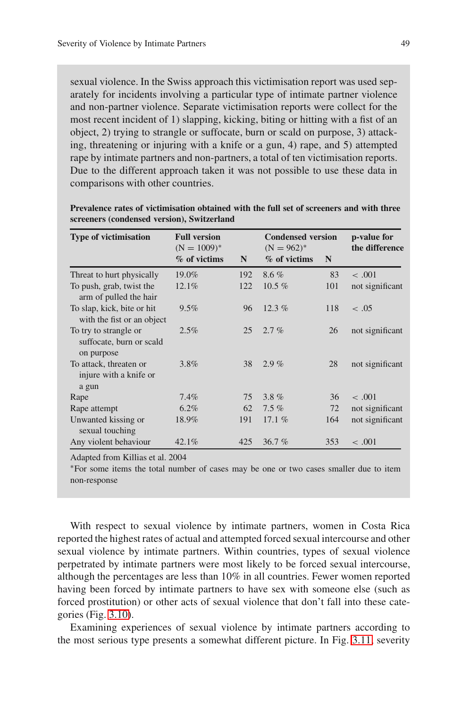sexual violence. In the Swiss approach this victimisation report was used separately for incidents involving a particular type of intimate partner violence and non-partner violence. Separate victimisation reports were collect for the most recent incident of 1) slapping, kicking, biting or hitting with a fist of an object, 2) trying to strangle or suffocate, burn or scald on purpose, 3) attacking, threatening or injuring with a knife or a gun, 4) rape, and 5) attempted rape by intimate partners and non-partners, a total of ten victimisation reports. Due to the different approach taken it was not possible to use these data in comparisons with other countries.

| <b>Type of victimisation</b>                                    | <b>Full version</b>            |     | <b>Condensed version</b>        |             | p-value for     |
|-----------------------------------------------------------------|--------------------------------|-----|---------------------------------|-------------|-----------------|
|                                                                 | $(N = 1009)^*$<br>% of victims | N   | $(N = 962)^{*}$<br>% of victims | $\mathbb N$ | the difference  |
| Threat to hurt physically                                       | 19.0%                          | 192 | $8.6\%$                         | 83          | < .001          |
| To push, grab, twist the<br>arm of pulled the hair              | 12.1%                          | 122 | 10.5 $%$                        | 101         | not significant |
| To slap, kick, bite or hit<br>with the fist or an object        | $9.5\%$                        | 96  | 12.3 $%$                        | 118         | < 0.05          |
| To try to strangle or<br>suffocate, burn or scald<br>on purpose | $2.5\%$                        | 25  | 2.7%                            | 26          | not significant |
| To attack, threaten or<br>injure with a knife or<br>a gun       | 3.8%                           | 38  | $2.9\%$                         | 28          | not significant |
| Rape                                                            | $7.4\%$                        | 75  | $3.8\%$                         | 36          | < .001          |
| Rape attempt                                                    | $6.2\%$                        | 62  | 7.5%                            | 72          | not significant |
| Unwanted kissing or<br>sexual touching                          | 18.9%                          | 191 | 17.1 $%$                        | 164         | not significant |
| Any violent behaviour                                           | $42.1\%$                       | 425 | 36.7%                           | 353         | < .001          |

**Prevalence rates of victimisation obtained with the full set of screeners and with three screeners (condensed version), Switzerland**

Adapted from Killias et al. 2004

<sup>∗</sup>For some items the total number of cases may be one or two cases smaller due to item non-response

With respect to sexual violence by intimate partners, women in Costa Rica reported the highest rates of actual and attempted forced sexual intercourse and other sexual violence by intimate partners. Within countries, types of sexual violence perpetrated by intimate partners were most likely to be forced sexual intercourse, although the percentages are less than 10% in all countries. Fewer women reported having been forced by intimate partners to have sex with someone else (such as forced prostitution) or other acts of sexual violence that don't fall into these categories (Fig. [3.10\)](#page-32-0).

Examining experiences of sexual violence by intimate partners according to the most serious type presents a somewhat different picture. In Fig. [3.11,](#page-33-0) severity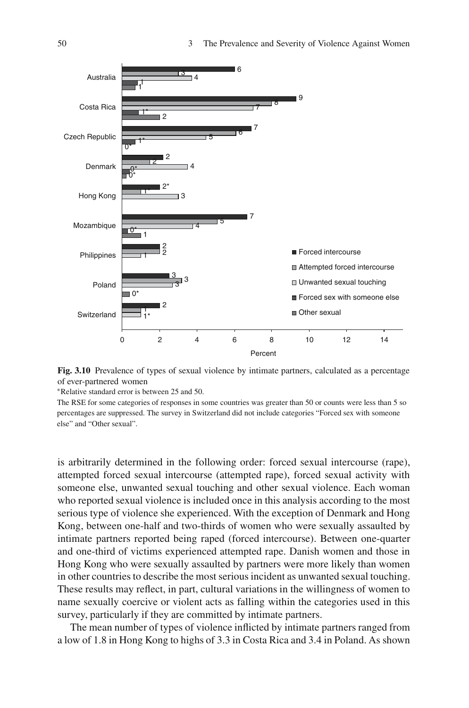

<span id="page-32-0"></span>**Fig. 3.10** Prevalence of types of sexual violence by intimate partners, calculated as a percentage of ever-partnered women

<sup>∗</sup>Relative standard error is between 25 and 50.

The RSE for some categories of responses in some countries was greater than 50 or counts were less than 5 so percentages are suppressed. The survey in Switzerland did not include categories "Forced sex with someone else" and "Other sexual".

is arbitrarily determined in the following order: forced sexual intercourse (rape), attempted forced sexual intercourse (attempted rape), forced sexual activity with someone else, unwanted sexual touching and other sexual violence. Each woman who reported sexual violence is included once in this analysis according to the most serious type of violence she experienced. With the exception of Denmark and Hong Kong, between one-half and two-thirds of women who were sexually assaulted by intimate partners reported being raped (forced intercourse). Between one-quarter and one-third of victims experienced attempted rape. Danish women and those in Hong Kong who were sexually assaulted by partners were more likely than women in other countries to describe the most serious incident as unwanted sexual touching. These results may reflect, in part, cultural variations in the willingness of women to name sexually coercive or violent acts as falling within the categories used in this survey, particularly if they are committed by intimate partners.

The mean number of types of violence inflicted by intimate partners ranged from a low of 1.8 in Hong Kong to highs of 3.3 in Costa Rica and 3.4 in Poland. As shown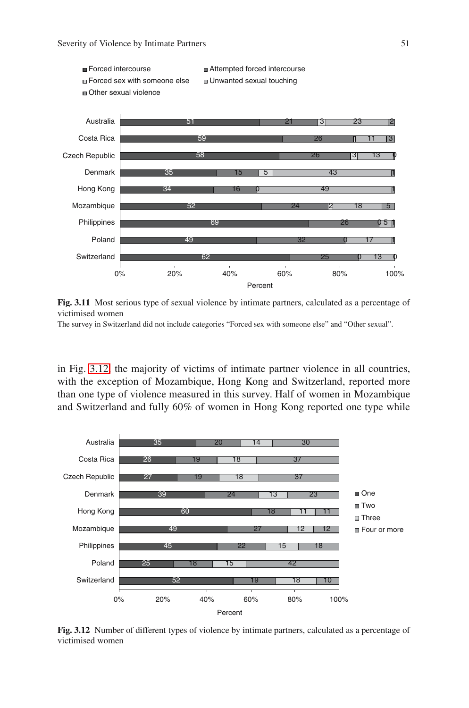

<span id="page-33-0"></span>**Fig. 3.11** Most serious type of sexual violence by intimate partners, calculated as a percentage of victimised women

The survey in Switzerland did not include categories "Forced sex with someone else" and "Other sexual".

in Fig. [3.12,](#page-33-1) the majority of victims of intimate partner violence in all countries, with the exception of Mozambique, Hong Kong and Switzerland, reported more than one type of violence measured in this survey. Half of women in Mozambique and Switzerland and fully 60% of women in Hong Kong reported one type while



<span id="page-33-1"></span>**Fig. 3.12** Number of different types of violence by intimate partners, calculated as a percentage of victimised women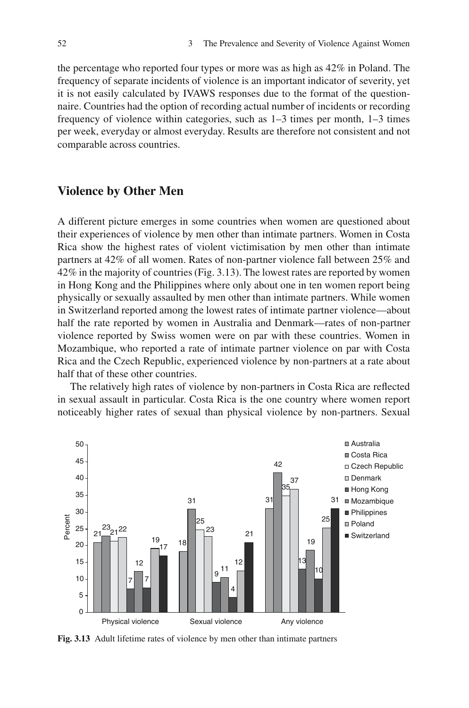the percentage who reported four types or more was as high as 42% in Poland. The frequency of separate incidents of violence is an important indicator of severity, yet it is not easily calculated by IVAWS responses due to the format of the questionnaire. Countries had the option of recording actual number of incidents or recording frequency of violence within categories, such as 1–3 times per month, 1–3 times per week, everyday or almost everyday. Results are therefore not consistent and not comparable across countries.

#### **Violence by Other Men**

A different picture emerges in some countries when women are questioned about their experiences of violence by men other than intimate partners. Women in Costa Rica show the highest rates of violent victimisation by men other than intimate partners at 42% of all women. Rates of non-partner violence fall between 25% and 42% in the majority of countries (Fig. 3.13). The lowest rates are reported by women in Hong Kong and the Philippines where only about one in ten women report being physically or sexually assaulted by men other than intimate partners. While women in Switzerland reported among the lowest rates of intimate partner violence—about half the rate reported by women in Australia and Denmark—rates of non-partner violence reported by Swiss women were on par with these countries. Women in Mozambique, who reported a rate of intimate partner violence on par with Costa Rica and the Czech Republic, experienced violence by non-partners at a rate about half that of these other countries.

The relatively high rates of violence by non-partners in Costa Rica are reflected in sexual assault in particular. Costa Rica is the one country where women report noticeably higher rates of sexual than physical violence by non-partners. Sexual



**Fig. 3.13** Adult lifetime rates of violence by men other than intimate partners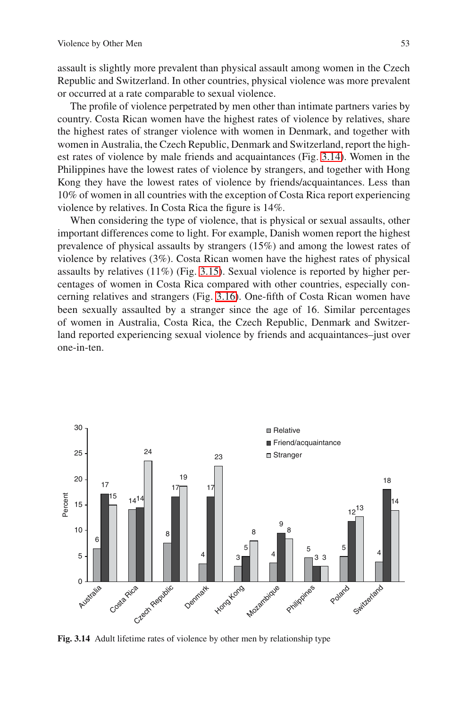assault is slightly more prevalent than physical assault among women in the Czech Republic and Switzerland. In other countries, physical violence was more prevalent or occurred at a rate comparable to sexual violence.

The profile of violence perpetrated by men other than intimate partners varies by country. Costa Rican women have the highest rates of violence by relatives, share the highest rates of stranger violence with women in Denmark, and together with women in Australia, the Czech Republic, Denmark and Switzerland, report the highest rates of violence by male friends and acquaintances (Fig. [3.14\)](#page-35-0). Women in the Philippines have the lowest rates of violence by strangers, and together with Hong Kong they have the lowest rates of violence by friends/acquaintances. Less than 10% of women in all countries with the exception of Costa Rica report experiencing violence by relatives. In Costa Rica the figure is 14%.

When considering the type of violence, that is physical or sexual assaults, other important differences come to light. For example, Danish women report the highest prevalence of physical assaults by strangers (15%) and among the lowest rates of violence by relatives (3%). Costa Rican women have the highest rates of physical assaults by relatives (11%) (Fig. [3.15\)](#page-36-0). Sexual violence is reported by higher percentages of women in Costa Rica compared with other countries, especially concerning relatives and strangers (Fig. [3.16\)](#page-36-1). One-fifth of Costa Rican women have been sexually assaulted by a stranger since the age of 16. Similar percentages of women in Australia, Costa Rica, the Czech Republic, Denmark and Switzerland reported experiencing sexual violence by friends and acquaintances–just over one-in-ten.



<span id="page-35-0"></span>**Fig. 3.14** Adult lifetime rates of violence by other men by relationship type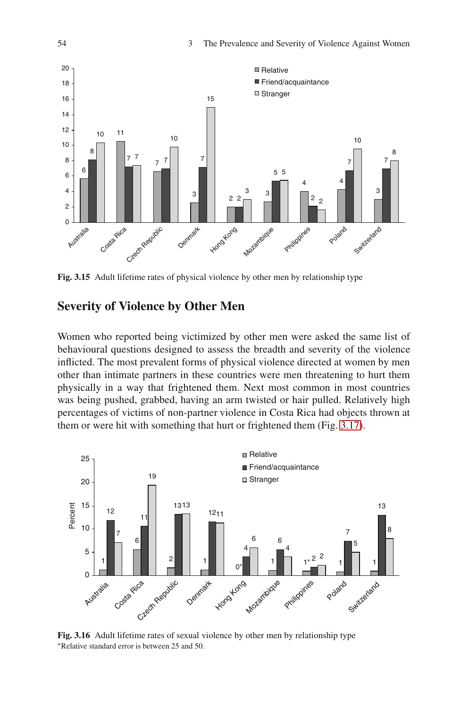

<span id="page-36-0"></span>**Fig. 3.15** Adult lifetime rates of physical violence by other men by relationship type

## **Severity of Violence by Other Men**

Women who reported being victimized by other men were asked the same list of behavioural questions designed to assess the breadth and severity of the violence inflicted. The most prevalent forms of physical violence directed at women by men other than intimate partners in these countries were men threatening to hurt them physically in a way that frightened them. Next most common in most countries was being pushed, grabbed, having an arm twisted or hair pulled. Relatively high percentages of victims of non-partner violence in Costa Rica had objects thrown at them or were hit with something that hurt or frightened them (Fig. [3.17\)](#page-37-0).



<span id="page-36-1"></span>**Fig. 3.16** Adult lifetime rates of sexual violence by other men by relationship type <sup>∗</sup>Relative standard error is between 25 and 50.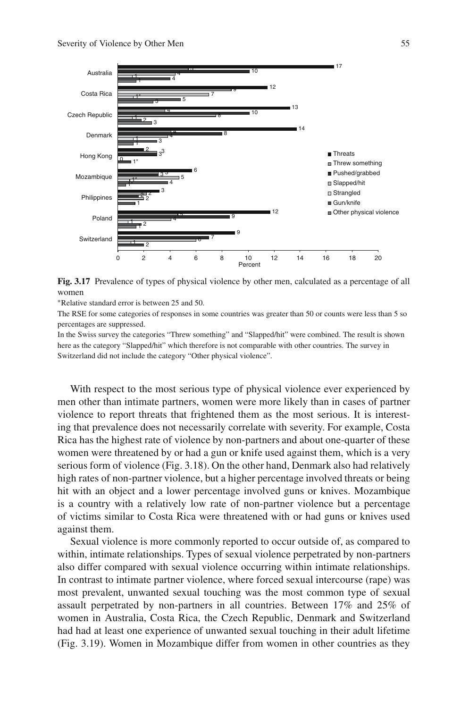

<span id="page-37-0"></span>**Fig. 3.17** Prevalence of types of physical violence by other men, calculated as a percentage of all women

<sup>∗</sup>Relative standard error is between 25 and 50.

The RSE for some categories of responses in some countries was greater than 50 or counts were less than 5 so percentages are suppressed.

In the Swiss survey the categories "Threw something" and "Slapped/hit" were combined. The result is shown here as the category "Slapped/hit" which therefore is not comparable with other countries. The survey in Switzerland did not include the category "Other physical violence".

With respect to the most serious type of physical violence ever experienced by men other than intimate partners, women were more likely than in cases of partner violence to report threats that frightened them as the most serious. It is interesting that prevalence does not necessarily correlate with severity. For example, Costa Rica has the highest rate of violence by non-partners and about one-quarter of these women were threatened by or had a gun or knife used against them, which is a very serious form of violence (Fig. 3.18). On the other hand, Denmark also had relatively high rates of non-partner violence, but a higher percentage involved threats or being hit with an object and a lower percentage involved guns or knives. Mozambique is a country with a relatively low rate of non-partner violence but a percentage of victims similar to Costa Rica were threatened with or had guns or knives used against them.

Sexual violence is more commonly reported to occur outside of, as compared to within, intimate relationships. Types of sexual violence perpetrated by non-partners also differ compared with sexual violence occurring within intimate relationships. In contrast to intimate partner violence, where forced sexual intercourse (rape) was most prevalent, unwanted sexual touching was the most common type of sexual assault perpetrated by non-partners in all countries. Between 17% and 25% of women in Australia, Costa Rica, the Czech Republic, Denmark and Switzerland had had at least one experience of unwanted sexual touching in their adult lifetime (Fig. 3.19). Women in Mozambique differ from women in other countries as they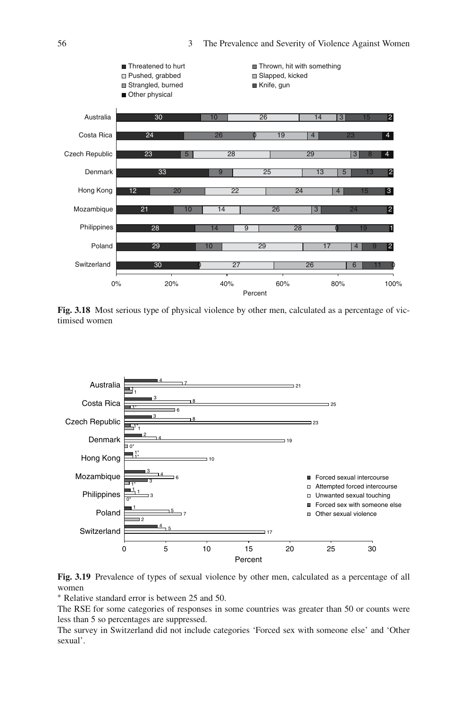

**Fig. 3.18** Most serious type of physical violence by other men, calculated as a percentage of victimised women



**Fig. 3.19** Prevalence of types of sexual violence by other men, calculated as a percentage of all women

<sup>∗</sup> Relative standard error is between 25 and 50.

The RSE for some categories of responses in some countries was greater than 50 or counts were less than 5 so percentages are suppressed.

The survey in Switzerland did not include categories 'Forced sex with someone else' and 'Other sexual'.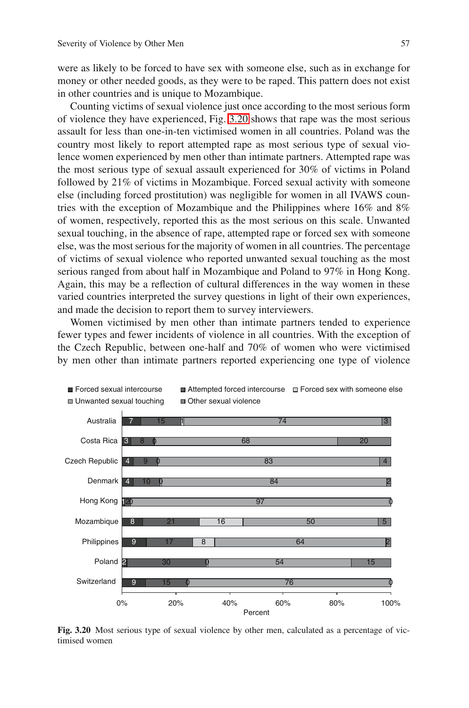were as likely to be forced to have sex with someone else, such as in exchange for money or other needed goods, as they were to be raped. This pattern does not exist in other countries and is unique to Mozambique.

Counting victims of sexual violence just once according to the most serious form of violence they have experienced, Fig. [3.20](#page-39-0) shows that rape was the most serious assault for less than one-in-ten victimised women in all countries. Poland was the country most likely to report attempted rape as most serious type of sexual violence women experienced by men other than intimate partners. Attempted rape was the most serious type of sexual assault experienced for 30% of victims in Poland followed by 21% of victims in Mozambique. Forced sexual activity with someone else (including forced prostitution) was negligible for women in all IVAWS countries with the exception of Mozambique and the Philippines where 16% and 8% of women, respectively, reported this as the most serious on this scale. Unwanted sexual touching, in the absence of rape, attempted rape or forced sex with someone else, was the most serious for the majority of women in all countries. The percentage of victims of sexual violence who reported unwanted sexual touching as the most serious ranged from about half in Mozambique and Poland to 97% in Hong Kong. Again, this may be a reflection of cultural differences in the way women in these varied countries interpreted the survey questions in light of their own experiences, and made the decision to report them to survey interviewers.

Women victimised by men other than intimate partners tended to experience fewer types and fewer incidents of violence in all countries. With the exception of the Czech Republic, between one-half and 70% of women who were victimised by men other than intimate partners reported experiencing one type of violence



<span id="page-39-0"></span>**Fig. 3.20** Most serious type of sexual violence by other men, calculated as a percentage of victimised women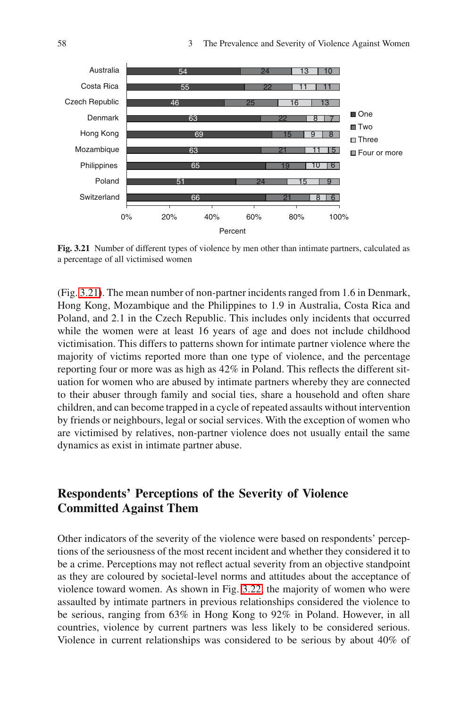

<span id="page-40-0"></span>**Fig. 3.21** Number of different types of violence by men other than intimate partners, calculated as a percentage of all victimised women

(Fig. [3.21\)](#page-40-0). The mean number of non-partner incidents ranged from 1.6 in Denmark, Hong Kong, Mozambique and the Philippines to 1.9 in Australia, Costa Rica and Poland, and 2.1 in the Czech Republic. This includes only incidents that occurred while the women were at least 16 years of age and does not include childhood victimisation. This differs to patterns shown for intimate partner violence where the majority of victims reported more than one type of violence, and the percentage reporting four or more was as high as 42% in Poland. This reflects the different situation for women who are abused by intimate partners whereby they are connected to their abuser through family and social ties, share a household and often share children, and can become trapped in a cycle of repeated assaults without intervention by friends or neighbours, legal or social services. With the exception of women who are victimised by relatives, non-partner violence does not usually entail the same dynamics as exist in intimate partner abuse.

## **Respondents' Perceptions of the Severity of Violence Committed Against Them**

Other indicators of the severity of the violence were based on respondents' perceptions of the seriousness of the most recent incident and whether they considered it to be a crime. Perceptions may not reflect actual severity from an objective standpoint as they are coloured by societal-level norms and attitudes about the acceptance of violence toward women. As shown in Fig. [3.22,](#page-41-0) the majority of women who were assaulted by intimate partners in previous relationships considered the violence to be serious, ranging from 63% in Hong Kong to 92% in Poland. However, in all countries, violence by current partners was less likely to be considered serious. Violence in current relationships was considered to be serious by about 40% of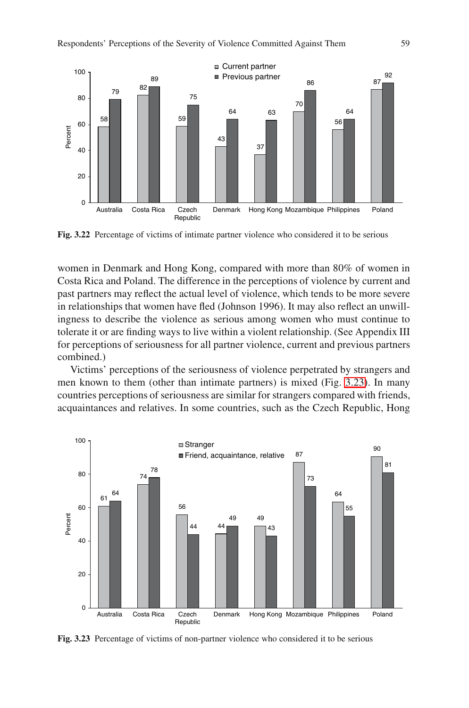

<span id="page-41-0"></span>**Fig. 3.22** Percentage of victims of intimate partner violence who considered it to be serious

women in Denmark and Hong Kong, compared with more than 80% of women in Costa Rica and Poland. The difference in the perceptions of violence by current and past partners may reflect the actual level of violence, which tends to be more severe in relationships that women have fled (Johnson 1996). It may also reflect an unwillingness to describe the violence as serious among women who must continue to tolerate it or are finding ways to live within a violent relationship. (See Appendix III for perceptions of seriousness for all partner violence, current and previous partners combined.)

Victims' perceptions of the seriousness of violence perpetrated by strangers and men known to them (other than intimate partners) is mixed (Fig. [3.23\)](#page-41-1). In many countries perceptions of seriousness are similar for strangers compared with friends, acquaintances and relatives. In some countries, such as the Czech Republic, Hong



<span id="page-41-1"></span>**Fig. 3.23** Percentage of victims of non-partner violence who considered it to be serious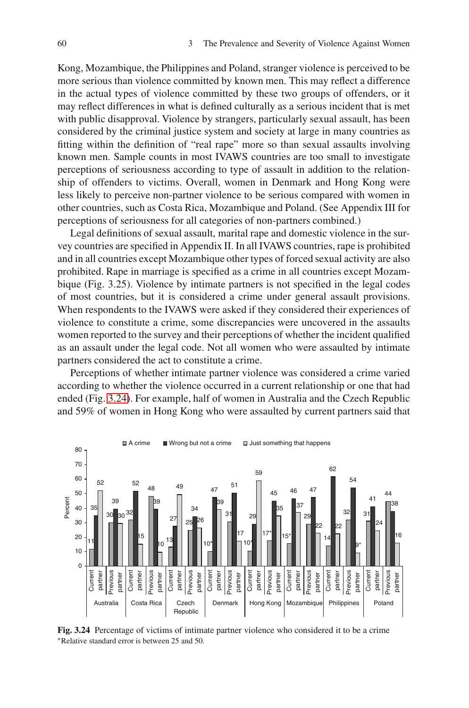Kong, Mozambique, the Philippines and Poland, stranger violence is perceived to be more serious than violence committed by known men. This may reflect a difference in the actual types of violence committed by these two groups of offenders, or it may reflect differences in what is defined culturally as a serious incident that is met with public disapproval. Violence by strangers, particularly sexual assault, has been considered by the criminal justice system and society at large in many countries as fitting within the definition of "real rape" more so than sexual assaults involving known men. Sample counts in most IVAWS countries are too small to investigate perceptions of seriousness according to type of assault in addition to the relationship of offenders to victims. Overall, women in Denmark and Hong Kong were less likely to perceive non-partner violence to be serious compared with women in other countries, such as Costa Rica, Mozambique and Poland. (See Appendix III for perceptions of seriousness for all categories of non-partners combined.)

Legal definitions of sexual assault, marital rape and domestic violence in the survey countries are specified in Appendix II. In all IVAWS countries, rape is prohibited and in all countries except Mozambique other types of forced sexual activity are also prohibited. Rape in marriage is specified as a crime in all countries except Mozambique (Fig. 3.25). Violence by intimate partners is not specified in the legal codes of most countries, but it is considered a crime under general assault provisions. When respondents to the IVAWS were asked if they considered their experiences of violence to constitute a crime, some discrepancies were uncovered in the assaults women reported to the survey and their perceptions of whether the incident qualified as an assault under the legal code. Not all women who were assaulted by intimate partners considered the act to constitute a crime.

Perceptions of whether intimate partner violence was considered a crime varied according to whether the violence occurred in a current relationship or one that had ended (Fig. [3.24\)](#page-42-0). For example, half of women in Australia and the Czech Republic and 59% of women in Hong Kong who were assaulted by current partners said that



<span id="page-42-0"></span>**Fig. 3.24** Percentage of victims of intimate partner violence who considered it to be a crime <sup>∗</sup>Relative standard error is between 25 and 50.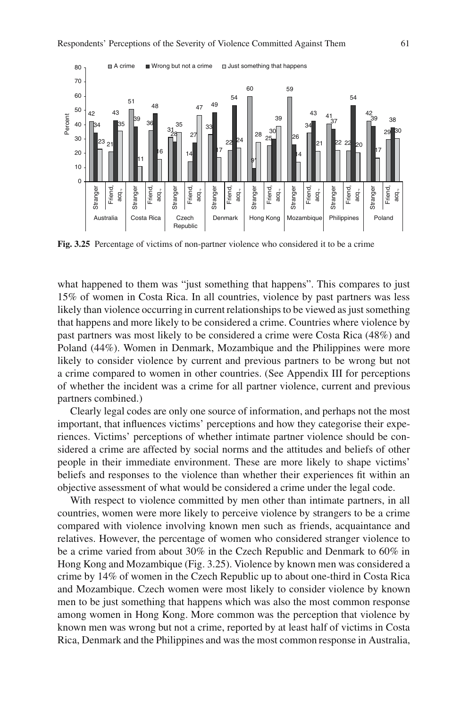

**Fig. 3.25** Percentage of victims of non-partner violence who considered it to be a crime

what happened to them was "just something that happens". This compares to just 15% of women in Costa Rica. In all countries, violence by past partners was less likely than violence occurring in current relationships to be viewed as just something that happens and more likely to be considered a crime. Countries where violence by past partners was most likely to be considered a crime were Costa Rica (48%) and Poland (44%). Women in Denmark, Mozambique and the Philippines were more likely to consider violence by current and previous partners to be wrong but not a crime compared to women in other countries. (See Appendix III for perceptions of whether the incident was a crime for all partner violence, current and previous partners combined.)

Clearly legal codes are only one source of information, and perhaps not the most important, that influences victims' perceptions and how they categorise their experiences. Victims' perceptions of whether intimate partner violence should be considered a crime are affected by social norms and the attitudes and beliefs of other people in their immediate environment. These are more likely to shape victims' beliefs and responses to the violence than whether their experiences fit within an objective assessment of what would be considered a crime under the legal code.

With respect to violence committed by men other than intimate partners, in all countries, women were more likely to perceive violence by strangers to be a crime compared with violence involving known men such as friends, acquaintance and relatives. However, the percentage of women who considered stranger violence to be a crime varied from about 30% in the Czech Republic and Denmark to 60% in Hong Kong and Mozambique (Fig. 3.25). Violence by known men was considered a crime by 14% of women in the Czech Republic up to about one-third in Costa Rica and Mozambique. Czech women were most likely to consider violence by known men to be just something that happens which was also the most common response among women in Hong Kong. More common was the perception that violence by known men was wrong but not a crime, reported by at least half of victims in Costa Rica, Denmark and the Philippines and was the most common response in Australia,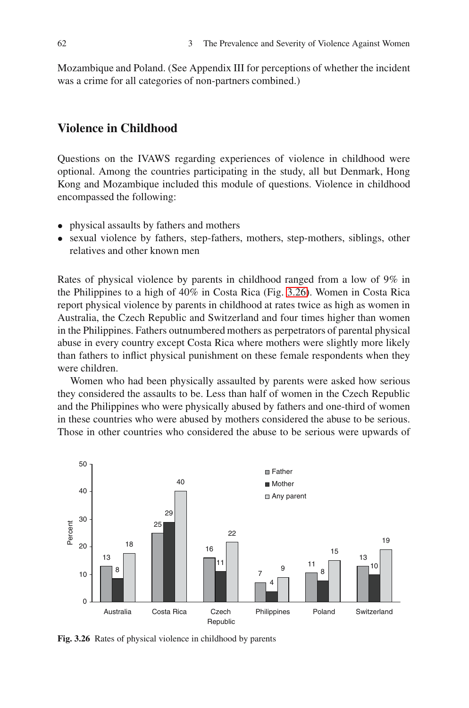Mozambique and Poland. (See Appendix III for perceptions of whether the incident was a crime for all categories of non-partners combined.)

## **Violence in Childhood**

Questions on the IVAWS regarding experiences of violence in childhood were optional. Among the countries participating in the study, all but Denmark, Hong Kong and Mozambique included this module of questions. Violence in childhood encompassed the following:

- physical assaults by fathers and mothers
- sexual violence by fathers, step-fathers, mothers, step-mothers, siblings, other relatives and other known men

Rates of physical violence by parents in childhood ranged from a low of 9% in the Philippines to a high of 40% in Costa Rica (Fig. [3.26\)](#page-44-0). Women in Costa Rica report physical violence by parents in childhood at rates twice as high as women in Australia, the Czech Republic and Switzerland and four times higher than women in the Philippines. Fathers outnumbered mothers as perpetrators of parental physical abuse in every country except Costa Rica where mothers were slightly more likely than fathers to inflict physical punishment on these female respondents when they were children.

Women who had been physically assaulted by parents were asked how serious they considered the assaults to be. Less than half of women in the Czech Republic and the Philippines who were physically abused by fathers and one-third of women in these countries who were abused by mothers considered the abuse to be serious. Those in other countries who considered the abuse to be serious were upwards of



<span id="page-44-0"></span>**Fig. 3.26** Rates of physical violence in childhood by parents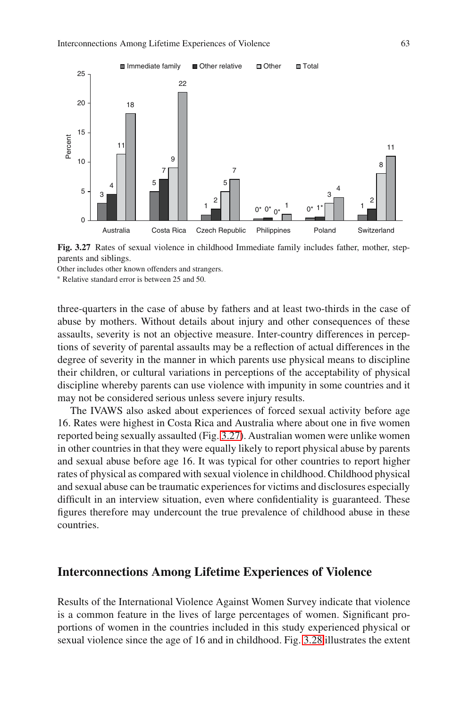

<span id="page-45-0"></span>**Fig. 3.27** Rates of sexual violence in childhood Immediate family includes father, mother, stepparents and siblings.

Other includes other known offenders and strangers.

<sup>∗</sup> Relative standard error is between 25 and 50.

three-quarters in the case of abuse by fathers and at least two-thirds in the case of abuse by mothers. Without details about injury and other consequences of these assaults, severity is not an objective measure. Inter-country differences in perceptions of severity of parental assaults may be a reflection of actual differences in the degree of severity in the manner in which parents use physical means to discipline their children, or cultural variations in perceptions of the acceptability of physical discipline whereby parents can use violence with impunity in some countries and it may not be considered serious unless severe injury results.

The IVAWS also asked about experiences of forced sexual activity before age 16. Rates were highest in Costa Rica and Australia where about one in five women reported being sexually assaulted (Fig. [3.27\)](#page-45-0). Australian women were unlike women in other countries in that they were equally likely to report physical abuse by parents and sexual abuse before age 16. It was typical for other countries to report higher rates of physical as compared with sexual violence in childhood. Childhood physical and sexual abuse can be traumatic experiences for victims and disclosures especially difficult in an interview situation, even where confidentiality is guaranteed. These figures therefore may undercount the true prevalence of childhood abuse in these countries.

#### **Interconnections Among Lifetime Experiences of Violence**

Results of the International Violence Against Women Survey indicate that violence is a common feature in the lives of large percentages of women. Significant proportions of women in the countries included in this study experienced physical or sexual violence since the age of 16 and in childhood. Fig. [3.28](#page-46-0) illustrates the extent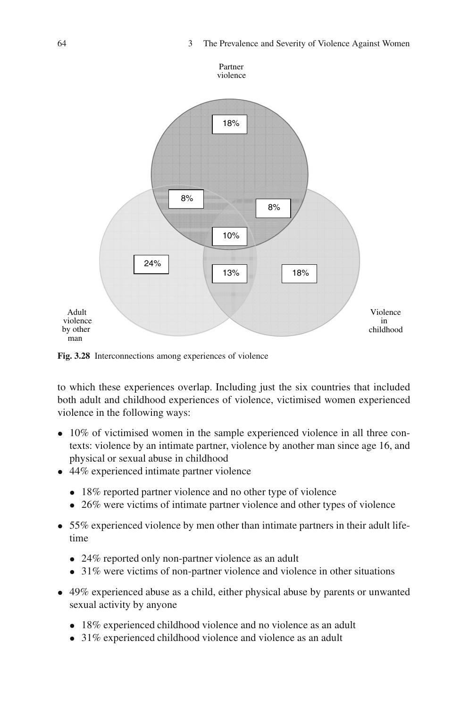

<span id="page-46-0"></span>**Fig. 3.28** Interconnections among experiences of violence

to which these experiences overlap. Including just the six countries that included both adult and childhood experiences of violence, victimised women experienced violence in the following ways:

- 10% of victimised women in the sample experienced violence in all three contexts: violence by an intimate partner, violence by another man since age 16, and physical or sexual abuse in childhood
- 44% experienced intimate partner violence
	- 18% reported partner violence and no other type of violence
	- 26% were victims of intimate partner violence and other types of violence
- 55% experienced violence by men other than intimate partners in their adult lifetime
	- 24% reported only non-partner violence as an adult
	- 31% were victims of non-partner violence and violence in other situations
- 49% experienced abuse as a child, either physical abuse by parents or unwanted sexual activity by anyone
	- 18% experienced childhood violence and no violence as an adult
	- 31% experienced childhood violence and violence as an adult